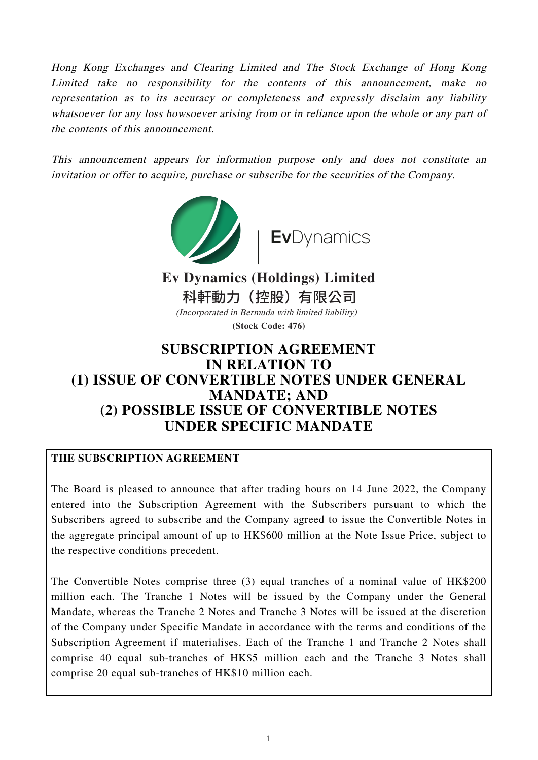Hong Kong Exchanges and Clearing Limited and The Stock Exchange of Hong Kong Limited take no responsibility for the contents of this announcement, make no representation as to its accuracy or completeness and expressly disclaim any liability whatsoever for any loss howsoever arising from or in reliance upon the whole or any part of the contents of this announcement.

This announcement appears for information purpose only and does not constitute an invitation or offer to acquire, purchase or subscribe for the securities of the Company.



# **SUBSCRIPTION AGREEMENT IN RELATION TO (1) ISSUE OF CONVERTIBLE NOTES UNDER GENERAL MANDATE; AND (2) POSSIBLE ISSUE OF CONVERTIBLE NOTES UNDER SPECIFIC MANDATE**

# **THE SUBSCRIPTION AGREEMENT**

The Board is pleased to announce that after trading hours on 14 June 2022, the Company entered into the Subscription Agreement with the Subscribers pursuant to which the Subscribers agreed to subscribe and the Company agreed to issue the Convertible Notes in the aggregate principal amount of up to HK\$600 million at the Note Issue Price, subject to the respective conditions precedent.

The Convertible Notes comprise three (3) equal tranches of a nominal value of HK\$200 million each. The Tranche 1 Notes will be issued by the Company under the General Mandate, whereas the Tranche 2 Notes and Tranche 3 Notes will be issued at the discretion of the Company under Specific Mandate in accordance with the terms and conditions of the Subscription Agreement if materialises. Each of the Tranche 1 and Tranche 2 Notes shall comprise 40 equal sub-tranches of HK\$5 million each and the Tranche 3 Notes shall comprise 20 equal sub-tranches of HK\$10 million each.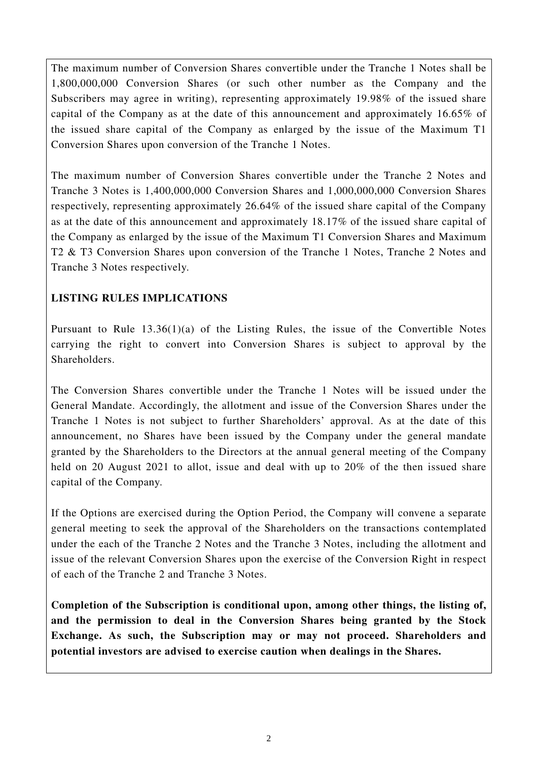The maximum number of Conversion Shares convertible under the Tranche 1 Notes shall be 1,800,000,000 Conversion Shares (or such other number as the Company and the Subscribers may agree in writing), representing approximately 19.98% of the issued share capital of the Company as at the date of this announcement and approximately 16.65% of the issued share capital of the Company as enlarged by the issue of the Maximum T1 Conversion Shares upon conversion of the Tranche 1 Notes.

The maximum number of Conversion Shares convertible under the Tranche 2 Notes and Tranche 3 Notes is 1,400,000,000 Conversion Shares and 1,000,000,000 Conversion Shares respectively, representing approximately 26.64% of the issued share capital of the Company as at the date of this announcement and approximately 18.17% of the issued share capital of the Company as enlarged by the issue of the Maximum T1 Conversion Shares and Maximum T2 & T3 Conversion Shares upon conversion of the Tranche 1 Notes, Tranche 2 Notes and Tranche 3 Notes respectively.

# **LISTING RULES IMPLICATIONS**

Pursuant to Rule 13.36(1)(a) of the Listing Rules, the issue of the Convertible Notes carrying the right to convert into Conversion Shares is subject to approval by the Shareholders.

The Conversion Shares convertible under the Tranche 1 Notes will be issued under the General Mandate. Accordingly, the allotment and issue of the Conversion Shares under the Tranche 1 Notes is not subject to further Shareholders' approval. As at the date of this announcement, no Shares have been issued by the Company under the general mandate granted by the Shareholders to the Directors at the annual general meeting of the Company held on 20 August 2021 to allot, issue and deal with up to 20% of the then issued share capital of the Company.

If the Options are exercised during the Option Period, the Company will convene a separate general meeting to seek the approval of the Shareholders on the transactions contemplated under the each of the Tranche 2 Notes and the Tranche 3 Notes, including the allotment and issue of the relevant Conversion Shares upon the exercise of the Conversion Right in respect of each of the Tranche 2 and Tranche 3 Notes.

**Completion of the Subscription is conditional upon, among other things, the listing of, and the permission to deal in the Conversion Shares being granted by the Stock Exchange. As such, the Subscription may or may not proceed. Shareholders and potential investors are advised to exercise caution when dealings in the Shares.**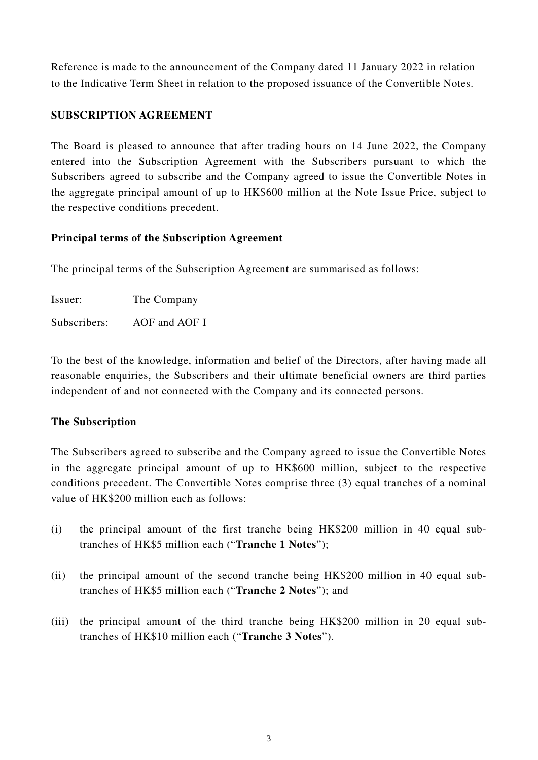Reference is made to the announcement of the Company dated 11 January 2022 in relation to the Indicative Term Sheet in relation to the proposed issuance of the Convertible Notes.

# **SUBSCRIPTION AGREEMENT**

The Board is pleased to announce that after trading hours on 14 June 2022, the Company entered into the Subscription Agreement with the Subscribers pursuant to which the Subscribers agreed to subscribe and the Company agreed to issue the Convertible Notes in the aggregate principal amount of up to HK\$600 million at the Note Issue Price, subject to the respective conditions precedent.

# **Principal terms of the Subscription Agreement**

The principal terms of the Subscription Agreement are summarised as follows:

Issuer: The Company

Subscribers: AOF and AOF I

To the best of the knowledge, information and belief of the Directors, after having made all reasonable enquiries, the Subscribers and their ultimate beneficial owners are third parties independent of and not connected with the Company and its connected persons.

# **The Subscription**

The Subscribers agreed to subscribe and the Company agreed to issue the Convertible Notes in the aggregate principal amount of up to HK\$600 million, subject to the respective conditions precedent. The Convertible Notes comprise three (3) equal tranches of a nominal value of HK\$200 million each as follows:

- (i) the principal amount of the first tranche being HK\$200 million in 40 equal subtranches of HK\$5 million each ("**Tranche 1 Notes**");
- (ii) the principal amount of the second tranche being HK\$200 million in 40 equal subtranches of HK\$5 million each ("**Tranche 2 Notes**"); and
- (iii) the principal amount of the third tranche being HK\$200 million in 20 equal subtranches of HK\$10 million each ("**Tranche 3 Notes**").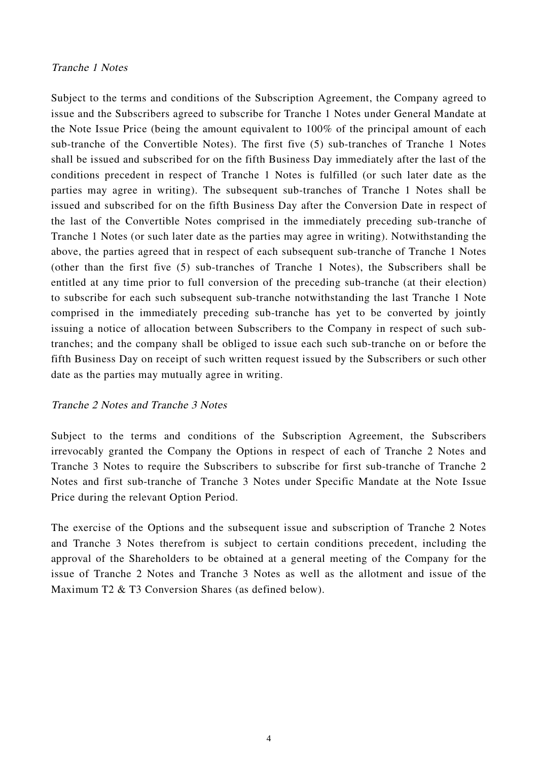#### Tranche 1 Notes

Subject to the terms and conditions of the Subscription Agreement, the Company agreed to issue and the Subscribers agreed to subscribe for Tranche 1 Notes under General Mandate at the Note Issue Price (being the amount equivalent to 100% of the principal amount of each sub-tranche of the Convertible Notes). The first five (5) sub-tranches of Tranche 1 Notes shall be issued and subscribed for on the fifth Business Day immediately after the last of the conditions precedent in respect of Tranche 1 Notes is fulfilled (or such later date as the parties may agree in writing). The subsequent sub-tranches of Tranche 1 Notes shall be issued and subscribed for on the fifth Business Day after the Conversion Date in respect of the last of the Convertible Notes comprised in the immediately preceding sub-tranche of Tranche 1 Notes (or such later date as the parties may agree in writing). Notwithstanding the above, the parties agreed that in respect of each subsequent sub-tranche of Tranche 1 Notes (other than the first five (5) sub-tranches of Tranche 1 Notes), the Subscribers shall be entitled at any time prior to full conversion of the preceding sub-tranche (at their election) to subscribe for each such subsequent sub-tranche notwithstanding the last Tranche 1 Note comprised in the immediately preceding sub-tranche has yet to be converted by jointly issuing a notice of allocation between Subscribers to the Company in respect of such subtranches; and the company shall be obliged to issue each such sub-tranche on or before the fifth Business Day on receipt of such written request issued by the Subscribers or such other date as the parties may mutually agree in writing.

#### Tranche 2 Notes and Tranche 3 Notes

Subject to the terms and conditions of the Subscription Agreement, the Subscribers irrevocably granted the Company the Options in respect of each of Tranche 2 Notes and Tranche 3 Notes to require the Subscribers to subscribe for first sub-tranche of Tranche 2 Notes and first sub-tranche of Tranche 3 Notes under Specific Mandate at the Note Issue Price during the relevant Option Period.

The exercise of the Options and the subsequent issue and subscription of Tranche 2 Notes and Tranche 3 Notes therefrom is subject to certain conditions precedent, including the approval of the Shareholders to be obtained at a general meeting of the Company for the issue of Tranche 2 Notes and Tranche 3 Notes as well as the allotment and issue of the Maximum T2 & T3 Conversion Shares (as defined below).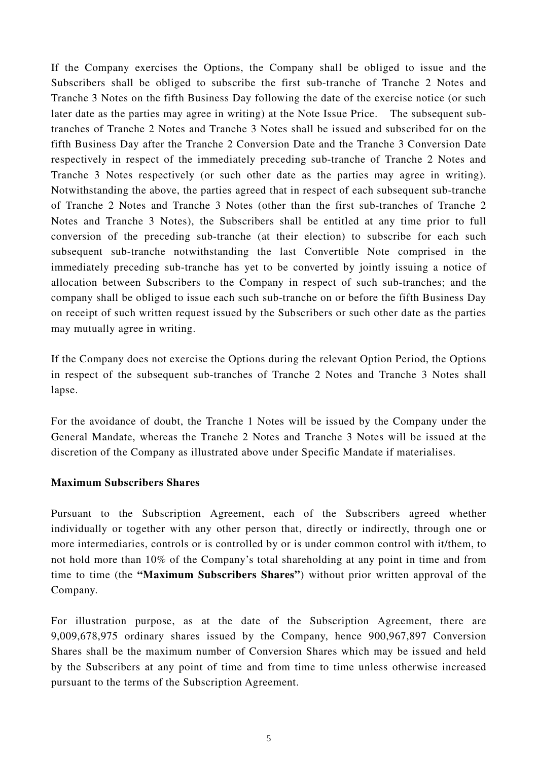If the Company exercises the Options, the Company shall be obliged to issue and the Subscribers shall be obliged to subscribe the first sub-tranche of Tranche 2 Notes and Tranche 3 Notes on the fifth Business Day following the date of the exercise notice (or such later date as the parties may agree in writing) at the Note Issue Price. The subsequent subtranches of Tranche 2 Notes and Tranche 3 Notes shall be issued and subscribed for on the fifth Business Day after the Tranche 2 Conversion Date and the Tranche 3 Conversion Date respectively in respect of the immediately preceding sub-tranche of Tranche 2 Notes and Tranche 3 Notes respectively (or such other date as the parties may agree in writing). Notwithstanding the above, the parties agreed that in respect of each subsequent sub-tranche of Tranche 2 Notes and Tranche 3 Notes (other than the first sub-tranches of Tranche 2 Notes and Tranche 3 Notes), the Subscribers shall be entitled at any time prior to full conversion of the preceding sub-tranche (at their election) to subscribe for each such subsequent sub-tranche notwithstanding the last Convertible Note comprised in the immediately preceding sub-tranche has yet to be converted by jointly issuing a notice of allocation between Subscribers to the Company in respect of such sub-tranches; and the company shall be obliged to issue each such sub-tranche on or before the fifth Business Day on receipt of such written request issued by the Subscribers or such other date as the parties may mutually agree in writing.

If the Company does not exercise the Options during the relevant Option Period, the Options in respect of the subsequent sub-tranches of Tranche 2 Notes and Tranche 3 Notes shall lapse.

For the avoidance of doubt, the Tranche 1 Notes will be issued by the Company under the General Mandate, whereas the Tranche 2 Notes and Tranche 3 Notes will be issued at the discretion of the Company as illustrated above under Specific Mandate if materialises.

### **Maximum Subscribers Shares**

Pursuant to the Subscription Agreement, each of the Subscribers agreed whether individually or together with any other person that, directly or indirectly, through one or more intermediaries, controls or is controlled by or is under common control with it/them, to not hold more than 10% of the Company's total shareholding at any point in time and from time to time (the **"Maximum Subscribers Shares"**) without prior written approval of the Company.

For illustration purpose, as at the date of the Subscription Agreement, there are 9,009,678,975 ordinary shares issued by the Company, hence 900,967,897 Conversion Shares shall be the maximum number of Conversion Shares which may be issued and held by the Subscribers at any point of time and from time to time unless otherwise increased pursuant to the terms of the Subscription Agreement.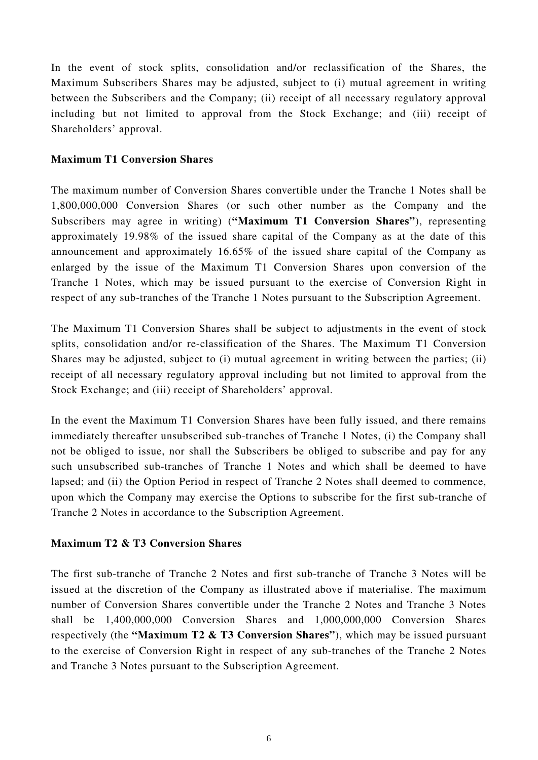In the event of stock splits, consolidation and/or reclassification of the Shares, the Maximum Subscribers Shares may be adjusted, subject to (i) mutual agreement in writing between the Subscribers and the Company; (ii) receipt of all necessary regulatory approval including but not limited to approval from the Stock Exchange; and (iii) receipt of Shareholders' approval.

### **Maximum T1 Conversion Shares**

The maximum number of Conversion Shares convertible under the Tranche 1 Notes shall be 1,800,000,000 Conversion Shares (or such other number as the Company and the Subscribers may agree in writing) (**"Maximum T1 Conversion Shares"**), representing approximately 19.98% of the issued share capital of the Company as at the date of this announcement and approximately 16.65% of the issued share capital of the Company as enlarged by the issue of the Maximum T1 Conversion Shares upon conversion of the Tranche 1 Notes, which may be issued pursuant to the exercise of Conversion Right in respect of any sub-tranches of the Tranche 1 Notes pursuant to the Subscription Agreement.

The Maximum T1 Conversion Shares shall be subject to adjustments in the event of stock splits, consolidation and/or re-classification of the Shares. The Maximum T1 Conversion Shares may be adjusted, subject to (i) mutual agreement in writing between the parties; (ii) receipt of all necessary regulatory approval including but not limited to approval from the Stock Exchange; and (iii) receipt of Shareholders' approval.

In the event the Maximum T1 Conversion Shares have been fully issued, and there remains immediately thereafter unsubscribed sub-tranches of Tranche 1 Notes, (i) the Company shall not be obliged to issue, nor shall the Subscribers be obliged to subscribe and pay for any such unsubscribed sub-tranches of Tranche 1 Notes and which shall be deemed to have lapsed; and (ii) the Option Period in respect of Tranche 2 Notes shall deemed to commence, upon which the Company may exercise the Options to subscribe for the first sub-tranche of Tranche 2 Notes in accordance to the Subscription Agreement.

### **Maximum T2 & T3 Conversion Shares**

The first sub-tranche of Tranche 2 Notes and first sub-tranche of Tranche 3 Notes will be issued at the discretion of the Company as illustrated above if materialise. The maximum number of Conversion Shares convertible under the Tranche 2 Notes and Tranche 3 Notes shall be 1,400,000,000 Conversion Shares and 1,000,000,000 Conversion Shares respectively (the **"Maximum T2 & T3 Conversion Shares"**), which may be issued pursuant to the exercise of Conversion Right in respect of any sub-tranches of the Tranche 2 Notes and Tranche 3 Notes pursuant to the Subscription Agreement.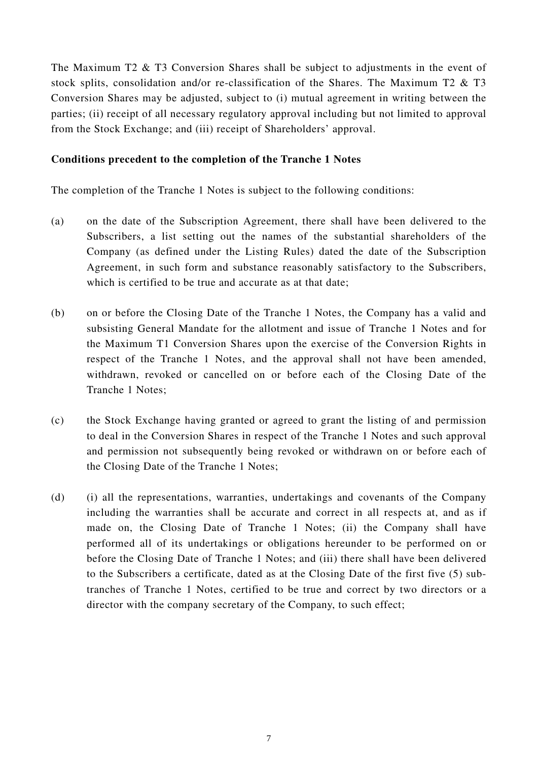The Maximum T2 & T3 Conversion Shares shall be subject to adjustments in the event of stock splits, consolidation and/or re-classification of the Shares. The Maximum T2 & T3 Conversion Shares may be adjusted, subject to (i) mutual agreement in writing between the parties; (ii) receipt of all necessary regulatory approval including but not limited to approval from the Stock Exchange; and (iii) receipt of Shareholders' approval.

#### **Conditions precedent to the completion of the Tranche 1 Notes**

The completion of the Tranche 1 Notes is subject to the following conditions:

- (a) on the date of the Subscription Agreement, there shall have been delivered to the Subscribers, a list setting out the names of the substantial shareholders of the Company (as defined under the Listing Rules) dated the date of the Subscription Agreement, in such form and substance reasonably satisfactory to the Subscribers, which is certified to be true and accurate as at that date;
- (b) on or before the Closing Date of the Tranche 1 Notes, the Company has a valid and subsisting General Mandate for the allotment and issue of Tranche 1 Notes and for the Maximum T1 Conversion Shares upon the exercise of the Conversion Rights in respect of the Tranche 1 Notes, and the approval shall not have been amended, withdrawn, revoked or cancelled on or before each of the Closing Date of the Tranche 1 Notes;
- (c) the Stock Exchange having granted or agreed to grant the listing of and permission to deal in the Conversion Shares in respect of the Tranche 1 Notes and such approval and permission not subsequently being revoked or withdrawn on or before each of the Closing Date of the Tranche 1 Notes;
- (d) (i) all the representations, warranties, undertakings and covenants of the Company including the warranties shall be accurate and correct in all respects at, and as if made on, the Closing Date of Tranche 1 Notes; (ii) the Company shall have performed all of its undertakings or obligations hereunder to be performed on or before the Closing Date of Tranche 1 Notes; and (iii) there shall have been delivered to the Subscribers a certificate, dated as at the Closing Date of the first five (5) subtranches of Tranche 1 Notes, certified to be true and correct by two directors or a director with the company secretary of the Company, to such effect;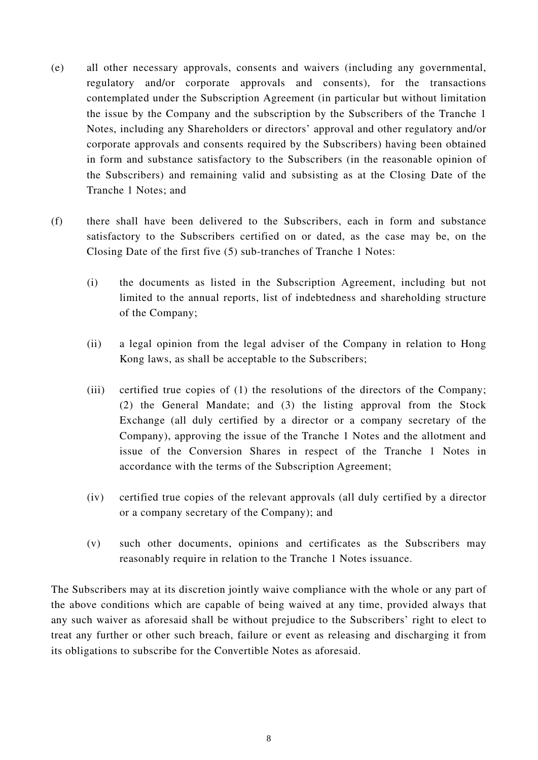- (e) all other necessary approvals, consents and waivers (including any governmental, regulatory and/or corporate approvals and consents), for the transactions contemplated under the Subscription Agreement (in particular but without limitation the issue by the Company and the subscription by the Subscribers of the Tranche 1 Notes, including any Shareholders or directors' approval and other regulatory and/or corporate approvals and consents required by the Subscribers) having been obtained in form and substance satisfactory to the Subscribers (in the reasonable opinion of the Subscribers) and remaining valid and subsisting as at the Closing Date of the Tranche 1 Notes; and
- (f) there shall have been delivered to the Subscribers, each in form and substance satisfactory to the Subscribers certified on or dated, as the case may be, on the Closing Date of the first five (5) sub-tranches of Tranche 1 Notes:
	- (i) the documents as listed in the Subscription Agreement, including but not limited to the annual reports, list of indebtedness and shareholding structure of the Company;
	- (ii) a legal opinion from the legal adviser of the Company in relation to Hong Kong laws, as shall be acceptable to the Subscribers;
	- (iii) certified true copies of (1) the resolutions of the directors of the Company; (2) the General Mandate; and (3) the listing approval from the Stock Exchange (all duly certified by a director or a company secretary of the Company), approving the issue of the Tranche 1 Notes and the allotment and issue of the Conversion Shares in respect of the Tranche 1 Notes in accordance with the terms of the Subscription Agreement;
	- (iv) certified true copies of the relevant approvals (all duly certified by a director or a company secretary of the Company); and
	- (v) such other documents, opinions and certificates as the Subscribers may reasonably require in relation to the Tranche 1 Notes issuance.

The Subscribers may at its discretion jointly waive compliance with the whole or any part of the above conditions which are capable of being waived at any time, provided always that any such waiver as aforesaid shall be without prejudice to the Subscribers' right to elect to treat any further or other such breach, failure or event as releasing and discharging it from its obligations to subscribe for the Convertible Notes as aforesaid.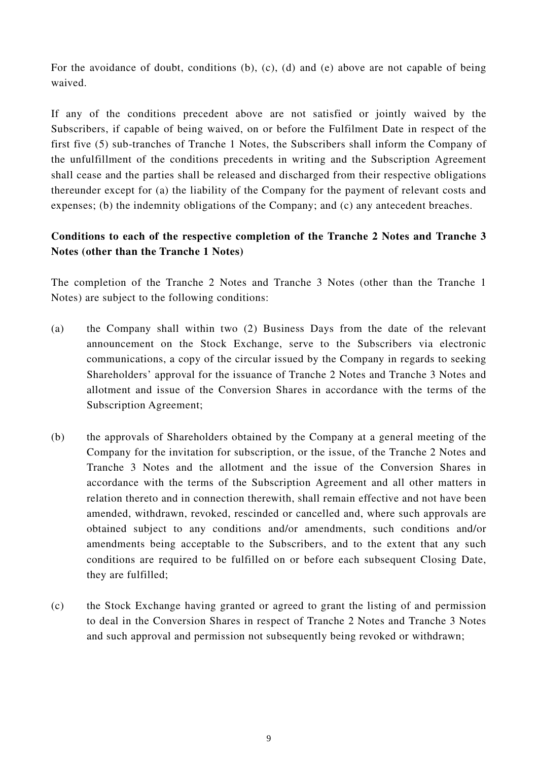For the avoidance of doubt, conditions (b), (c), (d) and (e) above are not capable of being waived.

If any of the conditions precedent above are not satisfied or jointly waived by the Subscribers, if capable of being waived, on or before the Fulfilment Date in respect of the first five (5) sub-tranches of Tranche 1 Notes, the Subscribers shall inform the Company of the unfulfillment of the conditions precedents in writing and the Subscription Agreement shall cease and the parties shall be released and discharged from their respective obligations thereunder except for (a) the liability of the Company for the payment of relevant costs and expenses; (b) the indemnity obligations of the Company; and (c) any antecedent breaches.

# **Conditions to each of the respective completion of the Tranche 2 Notes and Tranche 3 Notes (other than the Tranche 1 Notes)**

The completion of the Tranche 2 Notes and Tranche 3 Notes (other than the Tranche 1 Notes) are subject to the following conditions:

- (a) the Company shall within two (2) Business Days from the date of the relevant announcement on the Stock Exchange, serve to the Subscribers via electronic communications, a copy of the circular issued by the Company in regards to seeking Shareholders' approval for the issuance of Tranche 2 Notes and Tranche 3 Notes and allotment and issue of the Conversion Shares in accordance with the terms of the Subscription Agreement;
- (b) the approvals of Shareholders obtained by the Company at a general meeting of the Company for the invitation for subscription, or the issue, of the Tranche 2 Notes and Tranche 3 Notes and the allotment and the issue of the Conversion Shares in accordance with the terms of the Subscription Agreement and all other matters in relation thereto and in connection therewith, shall remain effective and not have been amended, withdrawn, revoked, rescinded or cancelled and, where such approvals are obtained subject to any conditions and/or amendments, such conditions and/or amendments being acceptable to the Subscribers, and to the extent that any such conditions are required to be fulfilled on or before each subsequent Closing Date, they are fulfilled;
- (c) the Stock Exchange having granted or agreed to grant the listing of and permission to deal in the Conversion Shares in respect of Tranche 2 Notes and Tranche 3 Notes and such approval and permission not subsequently being revoked or withdrawn;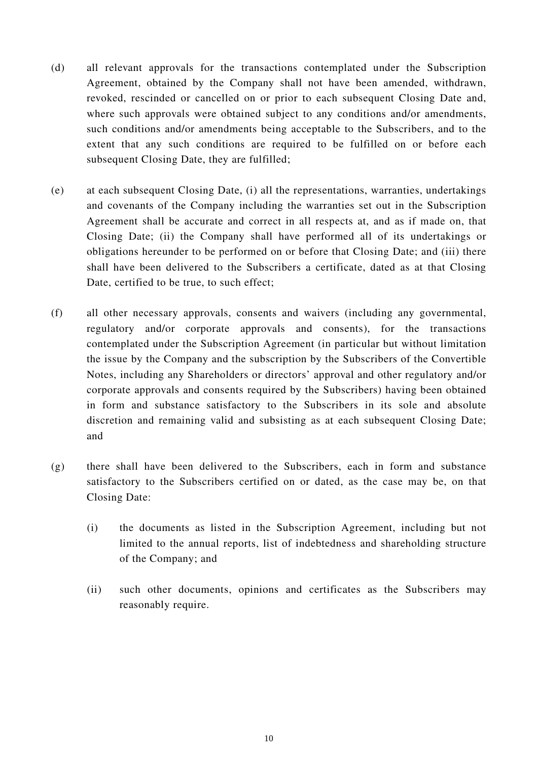- (d) all relevant approvals for the transactions contemplated under the Subscription Agreement, obtained by the Company shall not have been amended, withdrawn, revoked, rescinded or cancelled on or prior to each subsequent Closing Date and, where such approvals were obtained subject to any conditions and/or amendments, such conditions and/or amendments being acceptable to the Subscribers, and to the extent that any such conditions are required to be fulfilled on or before each subsequent Closing Date, they are fulfilled;
- (e) at each subsequent Closing Date, (i) all the representations, warranties, undertakings and covenants of the Company including the warranties set out in the Subscription Agreement shall be accurate and correct in all respects at, and as if made on, that Closing Date; (ii) the Company shall have performed all of its undertakings or obligations hereunder to be performed on or before that Closing Date; and (iii) there shall have been delivered to the Subscribers a certificate, dated as at that Closing Date, certified to be true, to such effect;
- (f) all other necessary approvals, consents and waivers (including any governmental, regulatory and/or corporate approvals and consents), for the transactions contemplated under the Subscription Agreement (in particular but without limitation the issue by the Company and the subscription by the Subscribers of the Convertible Notes, including any Shareholders or directors' approval and other regulatory and/or corporate approvals and consents required by the Subscribers) having been obtained in form and substance satisfactory to the Subscribers in its sole and absolute discretion and remaining valid and subsisting as at each subsequent Closing Date; and
- (g) there shall have been delivered to the Subscribers, each in form and substance satisfactory to the Subscribers certified on or dated, as the case may be, on that Closing Date:
	- (i) the documents as listed in the Subscription Agreement, including but not limited to the annual reports, list of indebtedness and shareholding structure of the Company; and
	- (ii) such other documents, opinions and certificates as the Subscribers may reasonably require.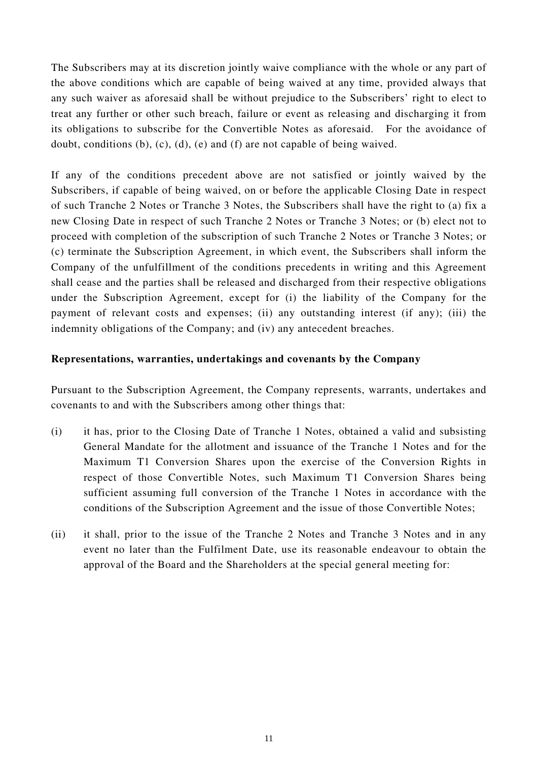The Subscribers may at its discretion jointly waive compliance with the whole or any part of the above conditions which are capable of being waived at any time, provided always that any such waiver as aforesaid shall be without prejudice to the Subscribers' right to elect to treat any further or other such breach, failure or event as releasing and discharging it from its obligations to subscribe for the Convertible Notes as aforesaid. For the avoidance of doubt, conditions (b), (c), (d), (e) and (f) are not capable of being waived.

If any of the conditions precedent above are not satisfied or jointly waived by the Subscribers, if capable of being waived, on or before the applicable Closing Date in respect of such Tranche 2 Notes or Tranche 3 Notes, the Subscribers shall have the right to (a) fix a new Closing Date in respect of such Tranche 2 Notes or Tranche 3 Notes; or (b) elect not to proceed with completion of the subscription of such Tranche 2 Notes or Tranche 3 Notes; or (c) terminate the Subscription Agreement, in which event, the Subscribers shall inform the Company of the unfulfillment of the conditions precedents in writing and this Agreement shall cease and the parties shall be released and discharged from their respective obligations under the Subscription Agreement, except for (i) the liability of the Company for the payment of relevant costs and expenses; (ii) any outstanding interest (if any); (iii) the indemnity obligations of the Company; and (iv) any antecedent breaches.

#### **Representations, warranties, undertakings and covenants by the Company**

Pursuant to the Subscription Agreement, the Company represents, warrants, undertakes and covenants to and with the Subscribers among other things that:

- (i) it has, prior to the Closing Date of Tranche 1 Notes, obtained a valid and subsisting General Mandate for the allotment and issuance of the Tranche 1 Notes and for the Maximum T1 Conversion Shares upon the exercise of the Conversion Rights in respect of those Convertible Notes, such Maximum T1 Conversion Shares being sufficient assuming full conversion of the Tranche 1 Notes in accordance with the conditions of the Subscription Agreement and the issue of those Convertible Notes;
- (ii) it shall, prior to the issue of the Tranche 2 Notes and Tranche 3 Notes and in any event no later than the Fulfilment Date, use its reasonable endeavour to obtain the approval of the Board and the Shareholders at the special general meeting for: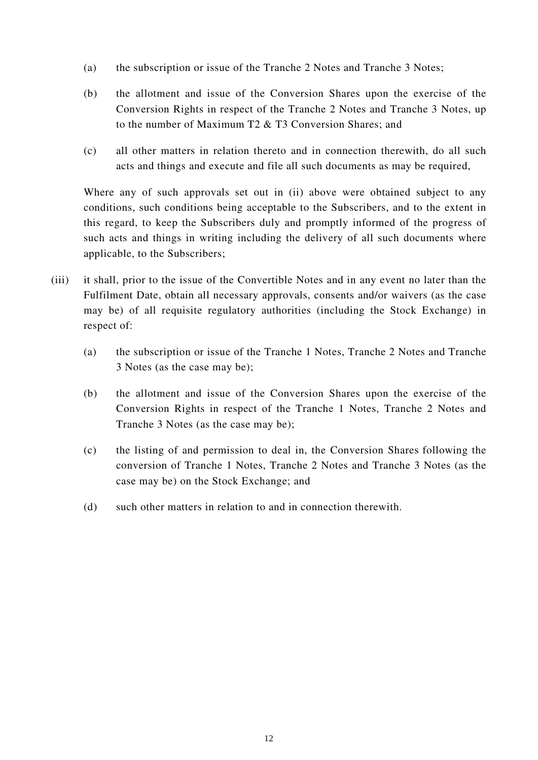- (a) the subscription or issue of the Tranche 2 Notes and Tranche 3 Notes;
- (b) the allotment and issue of the Conversion Shares upon the exercise of the Conversion Rights in respect of the Tranche 2 Notes and Tranche 3 Notes, up to the number of Maximum T2 & T3 Conversion Shares; and
- (c) all other matters in relation thereto and in connection therewith, do all such acts and things and execute and file all such documents as may be required,

Where any of such approvals set out in (ii) above were obtained subject to any conditions, such conditions being acceptable to the Subscribers, and to the extent in this regard, to keep the Subscribers duly and promptly informed of the progress of such acts and things in writing including the delivery of all such documents where applicable, to the Subscribers;

- (iii) it shall, prior to the issue of the Convertible Notes and in any event no later than the Fulfilment Date, obtain all necessary approvals, consents and/or waivers (as the case may be) of all requisite regulatory authorities (including the Stock Exchange) in respect of:
	- (a) the subscription or issue of the Tranche 1 Notes, Tranche 2 Notes and Tranche 3 Notes (as the case may be);
	- (b) the allotment and issue of the Conversion Shares upon the exercise of the Conversion Rights in respect of the Tranche 1 Notes, Tranche 2 Notes and Tranche 3 Notes (as the case may be);
	- (c) the listing of and permission to deal in, the Conversion Shares following the conversion of Tranche 1 Notes, Tranche 2 Notes and Tranche 3 Notes (as the case may be) on the Stock Exchange; and
	- (d) such other matters in relation to and in connection therewith.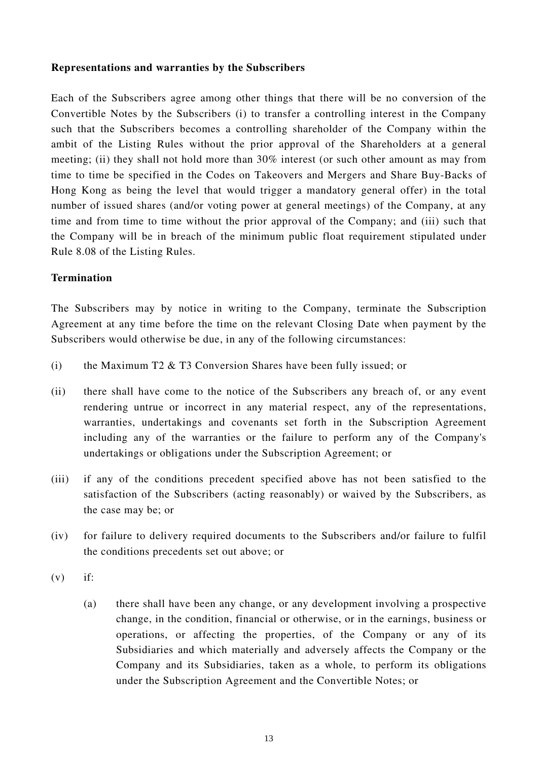#### **Representations and warranties by the Subscribers**

Each of the Subscribers agree among other things that there will be no conversion of the Convertible Notes by the Subscribers (i) to transfer a controlling interest in the Company such that the Subscribers becomes a controlling shareholder of the Company within the ambit of the Listing Rules without the prior approval of the Shareholders at a general meeting; (ii) they shall not hold more than 30% interest (or such other amount as may from time to time be specified in the Codes on Takeovers and Mergers and Share Buy-Backs of Hong Kong as being the level that would trigger a mandatory general offer) in the total number of issued shares (and/or voting power at general meetings) of the Company, at any time and from time to time without the prior approval of the Company; and (iii) such that the Company will be in breach of the minimum public float requirement stipulated under Rule 8.08 of the Listing Rules.

#### **Termination**

The Subscribers may by notice in writing to the Company, terminate the Subscription Agreement at any time before the time on the relevant Closing Date when payment by the Subscribers would otherwise be due, in any of the following circumstances:

- (i) the Maximum T2 & T3 Conversion Shares have been fully issued; or
- (ii) there shall have come to the notice of the Subscribers any breach of, or any event rendering untrue or incorrect in any material respect, any of the representations, warranties, undertakings and covenants set forth in the Subscription Agreement including any of the warranties or the failure to perform any of the Company's undertakings or obligations under the Subscription Agreement; or
- (iii) if any of the conditions precedent specified above has not been satisfied to the satisfaction of the Subscribers (acting reasonably) or waived by the Subscribers, as the case may be; or
- (iv) for failure to delivery required documents to the Subscribers and/or failure to fulfil the conditions precedents set out above; or
- $(v)$  if:
	- (a) there shall have been any change, or any development involving a prospective change, in the condition, financial or otherwise, or in the earnings, business or operations, or affecting the properties, of the Company or any of its Subsidiaries and which materially and adversely affects the Company or the Company and its Subsidiaries, taken as a whole, to perform its obligations under the Subscription Agreement and the Convertible Notes; or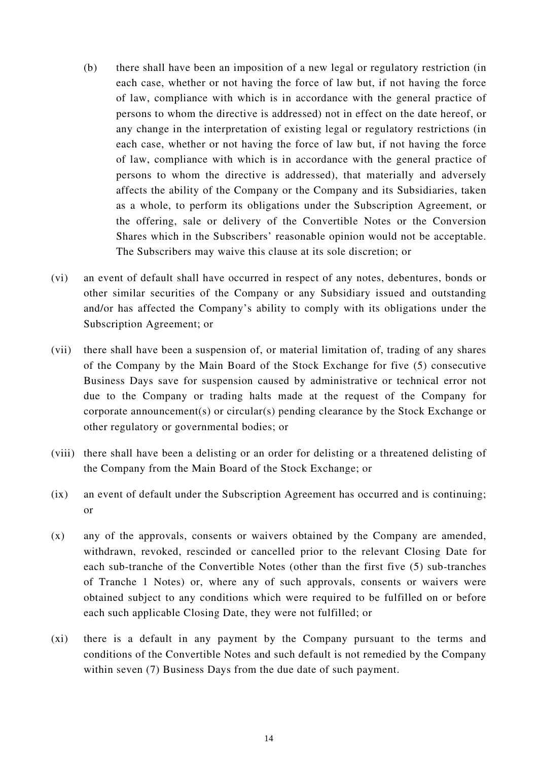- (b) there shall have been an imposition of a new legal or regulatory restriction (in each case, whether or not having the force of law but, if not having the force of law, compliance with which is in accordance with the general practice of persons to whom the directive is addressed) not in effect on the date hereof, or any change in the interpretation of existing legal or regulatory restrictions (in each case, whether or not having the force of law but, if not having the force of law, compliance with which is in accordance with the general practice of persons to whom the directive is addressed), that materially and adversely affects the ability of the Company or the Company and its Subsidiaries, taken as a whole, to perform its obligations under the Subscription Agreement, or the offering, sale or delivery of the Convertible Notes or the Conversion Shares which in the Subscribers' reasonable opinion would not be acceptable. The Subscribers may waive this clause at its sole discretion; or
- (vi) an event of default shall have occurred in respect of any notes, debentures, bonds or other similar securities of the Company or any Subsidiary issued and outstanding and/or has affected the Company's ability to comply with its obligations under the Subscription Agreement; or
- (vii) there shall have been a suspension of, or material limitation of, trading of any shares of the Company by the Main Board of the Stock Exchange for five (5) consecutive Business Days save for suspension caused by administrative or technical error not due to the Company or trading halts made at the request of the Company for corporate announcement(s) or circular(s) pending clearance by the Stock Exchange or other regulatory or governmental bodies; or
- (viii) there shall have been a delisting or an order for delisting or a threatened delisting of the Company from the Main Board of the Stock Exchange; or
- (ix) an event of default under the Subscription Agreement has occurred and is continuing; or
- (x) any of the approvals, consents or waivers obtained by the Company are amended, withdrawn, revoked, rescinded or cancelled prior to the relevant Closing Date for each sub-tranche of the Convertible Notes (other than the first five (5) sub-tranches of Tranche 1 Notes) or, where any of such approvals, consents or waivers were obtained subject to any conditions which were required to be fulfilled on or before each such applicable Closing Date, they were not fulfilled; or
- (xi) there is a default in any payment by the Company pursuant to the terms and conditions of the Convertible Notes and such default is not remedied by the Company within seven (7) Business Days from the due date of such payment.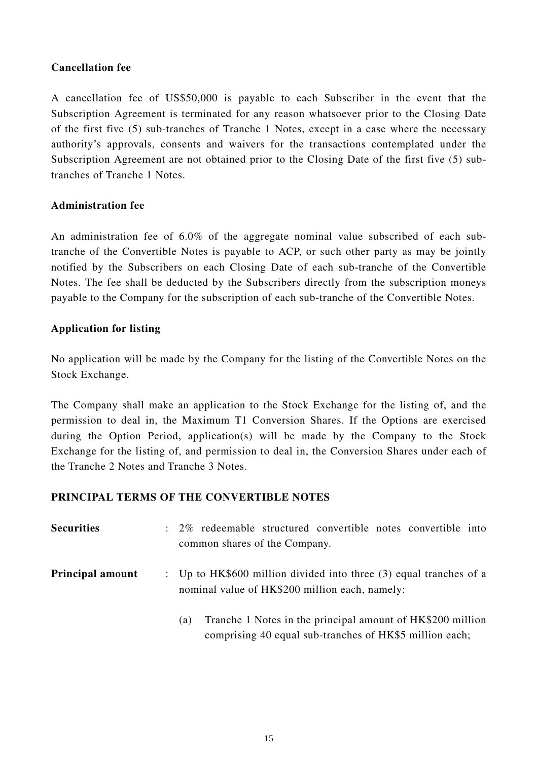### **Cancellation fee**

A cancellation fee of US\$50,000 is payable to each Subscriber in the event that the Subscription Agreement is terminated for any reason whatsoever prior to the Closing Date of the first five (5) sub-tranches of Tranche 1 Notes, except in a case where the necessary authority's approvals, consents and waivers for the transactions contemplated under the Subscription Agreement are not obtained prior to the Closing Date of the first five (5) subtranches of Tranche 1 Notes.

### **Administration fee**

An administration fee of 6.0% of the aggregate nominal value subscribed of each subtranche of the Convertible Notes is payable to ACP, or such other party as may be jointly notified by the Subscribers on each Closing Date of each sub-tranche of the Convertible Notes. The fee shall be deducted by the Subscribers directly from the subscription moneys payable to the Company for the subscription of each sub-tranche of the Convertible Notes.

# **Application for listing**

No application will be made by the Company for the listing of the Convertible Notes on the Stock Exchange.

The Company shall make an application to the Stock Exchange for the listing of, and the permission to deal in, the Maximum T1 Conversion Shares. If the Options are exercised during the Option Period, application(s) will be made by the Company to the Stock Exchange for the listing of, and permission to deal in, the Conversion Shares under each of the Tranche 2 Notes and Tranche 3 Notes.

### **PRINCIPAL TERMS OF THE CONVERTIBLE NOTES**

| <b>Securities</b>       | : 2% redeemable structured convertible notes convertible into<br>common shares of the Company.                               |
|-------------------------|------------------------------------------------------------------------------------------------------------------------------|
| <b>Principal amount</b> | : Up to $HK$600$ million divided into three (3) equal tranches of a<br>nominal value of HK\$200 million each, namely:        |
|                         | Tranche 1 Notes in the principal amount of HK\$200 million<br>(a)<br>comprising 40 equal sub-tranches of HK\$5 million each; |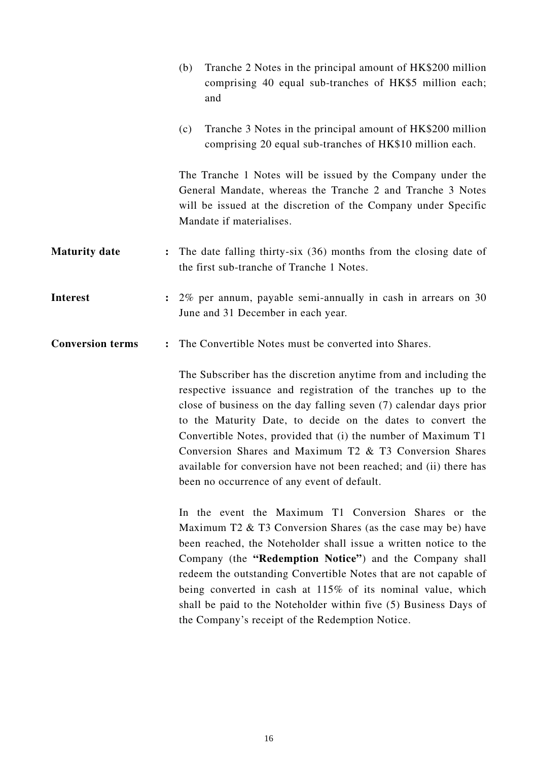|                         | Tranche 2 Notes in the principal amount of HK\$200 million<br>(b)<br>comprising 40 equal sub-tranches of HK\$5 million each;<br>and                                                                                                                                                                                                                                                                                                                                                                                      |  |
|-------------------------|--------------------------------------------------------------------------------------------------------------------------------------------------------------------------------------------------------------------------------------------------------------------------------------------------------------------------------------------------------------------------------------------------------------------------------------------------------------------------------------------------------------------------|--|
|                         | Tranche 3 Notes in the principal amount of HK\$200 million<br>(c)<br>comprising 20 equal sub-tranches of HK\$10 million each.                                                                                                                                                                                                                                                                                                                                                                                            |  |
|                         | The Tranche 1 Notes will be issued by the Company under the<br>General Mandate, whereas the Tranche 2 and Tranche 3 Notes<br>will be issued at the discretion of the Company under Specific<br>Mandate if materialises.                                                                                                                                                                                                                                                                                                  |  |
| <b>Maturity date</b>    | The date falling thirty-six (36) months from the closing date of<br>the first sub-tranche of Tranche 1 Notes.                                                                                                                                                                                                                                                                                                                                                                                                            |  |
| <b>Interest</b>         | 2% per annum, payable semi-annually in cash in arrears on 30<br>$\ddot{\cdot}$<br>June and 31 December in each year.                                                                                                                                                                                                                                                                                                                                                                                                     |  |
| <b>Conversion terms</b> | The Convertible Notes must be converted into Shares.<br>$\ddot{\cdot}$                                                                                                                                                                                                                                                                                                                                                                                                                                                   |  |
|                         | The Subscriber has the discretion anytime from and including the<br>respective issuance and registration of the tranches up to the<br>close of business on the day falling seven (7) calendar days prior<br>to the Maturity Date, to decide on the dates to convert the<br>Convertible Notes, provided that (i) the number of Maximum T1<br>Conversion Shares and Maximum T2 & T3 Conversion Shares<br>available for conversion have not been reached; and (ii) there has<br>been no occurrence of any event of default. |  |
|                         | In the event the Maximum T1 Conversion Shares or the<br>Maximum T2 & T3 Conversion Shares (as the case may be) have<br>been reached, the Noteholder shall issue a written notice to the<br>Company (the "Redemption Notice") and the Company shall<br>redeem the outstanding Convertible Notes that are not capable of<br>being converted in cash at 115% of its nominal value, which<br>shall be paid to the Noteholder within five (5) Business Days of<br>the Company's receipt of the Redemption Notice.             |  |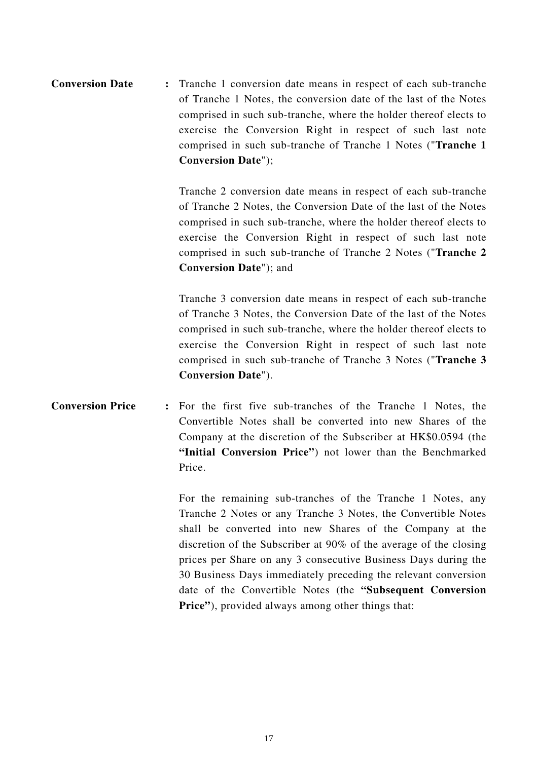# **Conversion Date :** Tranche 1 conversion date means in respect of each sub-tranche of Tranche 1 Notes, the conversion date of the last of the Notes comprised in such sub-tranche, where the holder thereof elects to exercise the Conversion Right in respect of such last note comprised in such sub-tranche of Tranche 1 Notes ("**Tranche 1 Conversion Date**");

Tranche 2 conversion date means in respect of each sub-tranche of Tranche 2 Notes, the Conversion Date of the last of the Notes comprised in such sub-tranche, where the holder thereof elects to exercise the Conversion Right in respect of such last note comprised in such sub-tranche of Tranche 2 Notes ("**Tranche 2 Conversion Date**"); and

Tranche 3 conversion date means in respect of each sub-tranche of Tranche 3 Notes, the Conversion Date of the last of the Notes comprised in such sub-tranche, where the holder thereof elects to exercise the Conversion Right in respect of such last note comprised in such sub-tranche of Tranche 3 Notes ("**Tranche 3 Conversion Date**").

# **Conversion Price :** For the first five sub-tranches of the Tranche 1 Notes, the Convertible Notes shall be converted into new Shares of the Company at the discretion of the Subscriber at HK\$0.0594 (the **"Initial Conversion Price"**) not lower than the Benchmarked Price.

For the remaining sub-tranches of the Tranche 1 Notes, any Tranche 2 Notes or any Tranche 3 Notes, the Convertible Notes shall be converted into new Shares of the Company at the discretion of the Subscriber at 90% of the average of the closing prices per Share on any 3 consecutive Business Days during the 30 Business Days immediately preceding the relevant conversion date of the Convertible Notes (the **"Subsequent Conversion Price"**), provided always among other things that: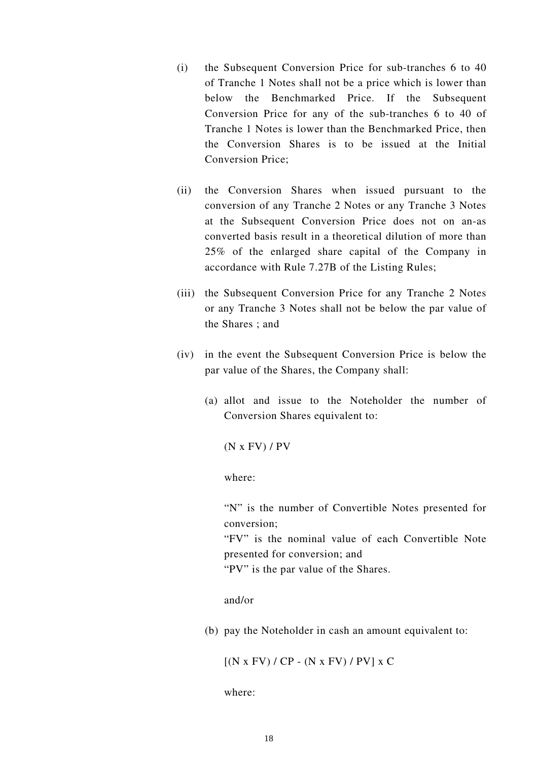- (i) the Subsequent Conversion Price for sub-tranches 6 to 40 of Tranche 1 Notes shall not be a price which is lower than below the Benchmarked Price. If the Subsequent Conversion Price for any of the sub-tranches 6 to 40 of Tranche 1 Notes is lower than the Benchmarked Price, then the Conversion Shares is to be issued at the Initial Conversion Price;
- (ii) the Conversion Shares when issued pursuant to the conversion of any Tranche 2 Notes or any Tranche 3 Notes at the Subsequent Conversion Price does not on an-as converted basis result in a theoretical dilution of more than 25% of the enlarged share capital of the Company in accordance with Rule 7.27B of the Listing Rules;
- (iii) the Subsequent Conversion Price for any Tranche 2 Notes or any Tranche 3 Notes shall not be below the par value of the Shares ; and
- (iv) in the event the Subsequent Conversion Price is below the par value of the Shares, the Company shall:
	- (a) allot and issue to the Noteholder the number of Conversion Shares equivalent to:

(N x FV) / PV

where:

 "N" is the number of Convertible Notes presented for conversion;

"FV" is the nominal value of each Convertible Note presented for conversion; and

"PV" is the par value of the Shares.

#### and/or

(b) pay the Noteholder in cash an amount equivalent to:

 $[(N \times FV) / CP - (N \times FV) / PV] \times C$ 

where: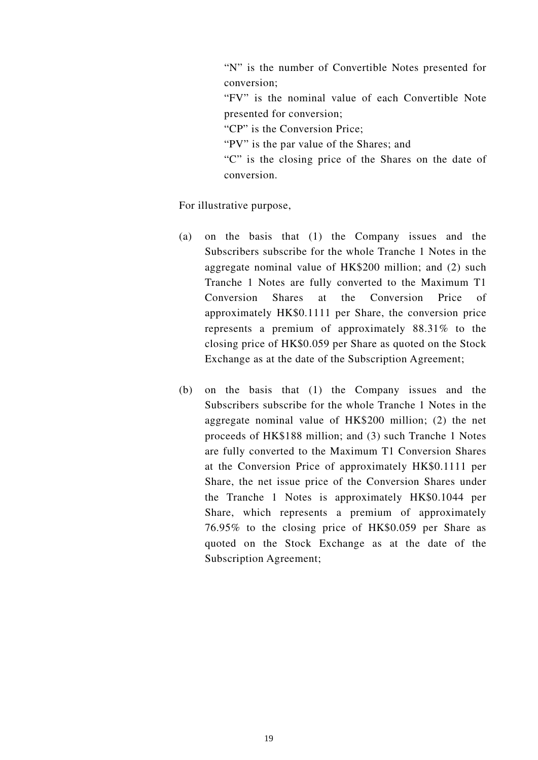"N" is the number of Convertible Notes presented for conversion; "FV" is the nominal value of each Convertible Note presented for conversion; "CP" is the Conversion Price; "PV" is the par value of the Shares; and

"C" is the closing price of the Shares on the date of conversion.

For illustrative purpose,

- (a) on the basis that (1) the Company issues and the Subscribers subscribe for the whole Tranche 1 Notes in the aggregate nominal value of HK\$200 million; and (2) such Tranche 1 Notes are fully converted to the Maximum T1 Conversion Shares at the Conversion Price of approximately HK\$0.1111 per Share, the conversion price represents a premium of approximately 88.31% to the closing price of HK\$0.059 per Share as quoted on the Stock Exchange as at the date of the Subscription Agreement;
- (b) on the basis that (1) the Company issues and the Subscribers subscribe for the whole Tranche 1 Notes in the aggregate nominal value of HK\$200 million; (2) the net proceeds of HK\$188 million; and (3) such Tranche 1 Notes are fully converted to the Maximum T1 Conversion Shares at the Conversion Price of approximately HK\$0.1111 per Share, the net issue price of the Conversion Shares under the Tranche 1 Notes is approximately HK\$0.1044 per Share, which represents a premium of approximately 76.95% to the closing price of HK\$0.059 per Share as quoted on the Stock Exchange as at the date of the Subscription Agreement;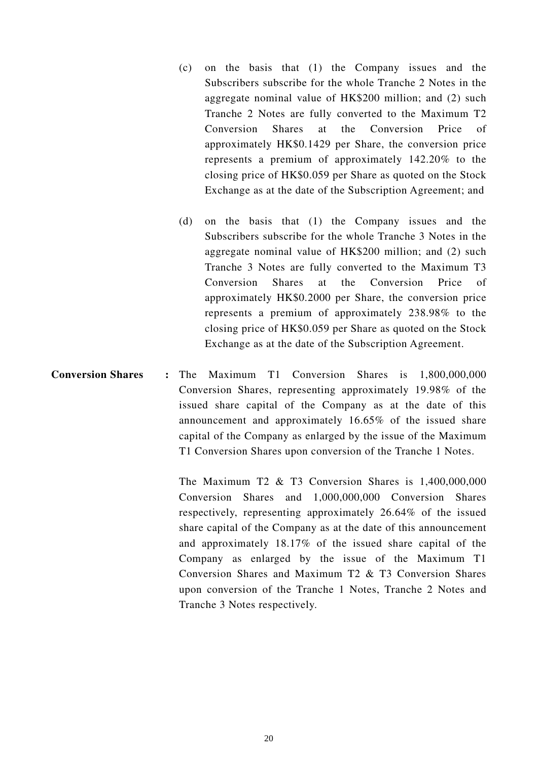- (c) on the basis that (1) the Company issues and the Subscribers subscribe for the whole Tranche 2 Notes in the aggregate nominal value of HK\$200 million; and (2) such Tranche 2 Notes are fully converted to the Maximum T2 Conversion Shares at the Conversion Price of approximately HK\$0.1429 per Share, the conversion price represents a premium of approximately 142.20% to the closing price of HK\$0.059 per Share as quoted on the Stock Exchange as at the date of the Subscription Agreement; and
- (d) on the basis that (1) the Company issues and the Subscribers subscribe for the whole Tranche 3 Notes in the aggregate nominal value of HK\$200 million; and (2) such Tranche 3 Notes are fully converted to the Maximum T3 Conversion Shares at the Conversion Price of approximately HK\$0.2000 per Share, the conversion price represents a premium of approximately 238.98% to the closing price of HK\$0.059 per Share as quoted on the Stock Exchange as at the date of the Subscription Agreement.
- **Conversion Shares :** The Maximum T1 Conversion Shares is 1,800,000,000 Conversion Shares, representing approximately 19.98% of the issued share capital of the Company as at the date of this announcement and approximately 16.65% of the issued share capital of the Company as enlarged by the issue of the Maximum T1 Conversion Shares upon conversion of the Tranche 1 Notes.

The Maximum T2 & T3 Conversion Shares is 1,400,000,000 Conversion Shares and 1,000,000,000 Conversion Shares respectively, representing approximately 26.64% of the issued share capital of the Company as at the date of this announcement and approximately 18.17% of the issued share capital of the Company as enlarged by the issue of the Maximum T1 Conversion Shares and Maximum T2 & T3 Conversion Shares upon conversion of the Tranche 1 Notes, Tranche 2 Notes and Tranche 3 Notes respectively.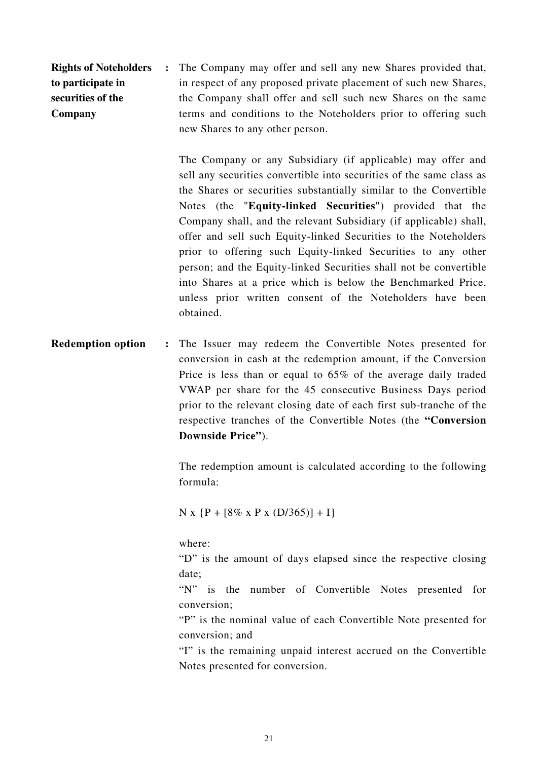**Rights of Noteholders to participate in securities of the Company :** The Company may offer and sell any new Shares provided that, in respect of any proposed private placement of such new Shares, the Company shall offer and sell such new Shares on the same terms and conditions to the Noteholders prior to offering such new Shares to any other person.

> The Company or any Subsidiary (if applicable) may offer and sell any securities convertible into securities of the same class as the Shares or securities substantially similar to the Convertible Notes (the "**Equity-linked Securities**") provided that the Company shall, and the relevant Subsidiary (if applicable) shall, offer and sell such Equity-linked Securities to the Noteholders prior to offering such Equity-linked Securities to any other person; and the Equity-linked Securities shall not be convertible into Shares at a price which is below the Benchmarked Price, unless prior written consent of the Noteholders have been obtained.

**Redemption option :** The Issuer may redeem the Convertible Notes presented for conversion in cash at the redemption amount, if the Conversion Price is less than or equal to 65% of the average daily traded VWAP per share for the 45 consecutive Business Days period prior to the relevant closing date of each first sub-tranche of the respective tranches of the Convertible Notes (the **"Conversion Downside Price"**).

> The redemption amount is calculated according to the following formula:

N x {P +  $[8\% \times P \times (D/365)] + I$ }

where:

"D" is the amount of days elapsed since the respective closing date;

"N" is the number of Convertible Notes presented for conversion;

"P" is the nominal value of each Convertible Note presented for conversion; and

"I" is the remaining unpaid interest accrued on the Convertible Notes presented for conversion.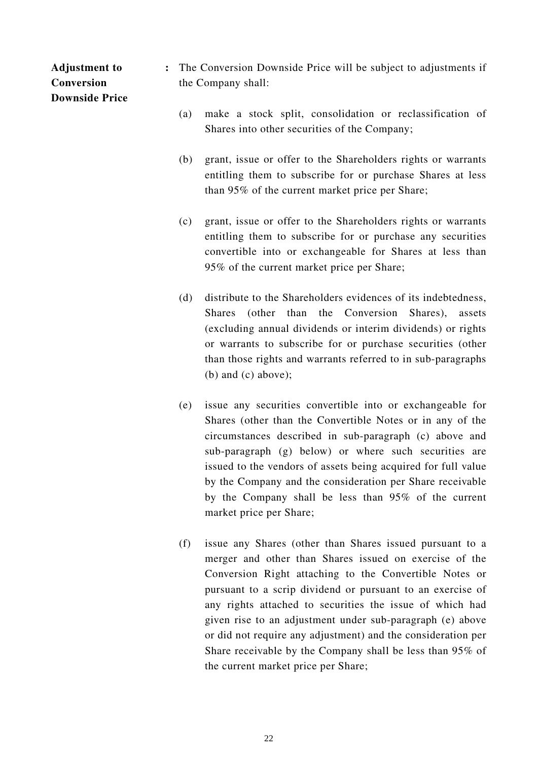# **Adjustment to Conversion Downside Price**

- **:** The Conversion Downside Price will be subject to adjustments if the Company shall:
	- (a) make a stock split, consolidation or reclassification of Shares into other securities of the Company;
	- (b) grant, issue or offer to the Shareholders rights or warrants entitling them to subscribe for or purchase Shares at less than 95% of the current market price per Share;
	- (c) grant, issue or offer to the Shareholders rights or warrants entitling them to subscribe for or purchase any securities convertible into or exchangeable for Shares at less than 95% of the current market price per Share;
	- (d) distribute to the Shareholders evidences of its indebtedness, Shares (other than the Conversion Shares), assets (excluding annual dividends or interim dividends) or rights or warrants to subscribe for or purchase securities (other than those rights and warrants referred to in sub-paragraphs (b) and (c) above);
	- (e) issue any securities convertible into or exchangeable for Shares (other than the Convertible Notes or in any of the circumstances described in sub-paragraph (c) above and sub-paragraph (g) below) or where such securities are issued to the vendors of assets being acquired for full value by the Company and the consideration per Share receivable by the Company shall be less than 95% of the current market price per Share;
	- (f) issue any Shares (other than Shares issued pursuant to a merger and other than Shares issued on exercise of the Conversion Right attaching to the Convertible Notes or pursuant to a scrip dividend or pursuant to an exercise of any rights attached to securities the issue of which had given rise to an adjustment under sub-paragraph (e) above or did not require any adjustment) and the consideration per Share receivable by the Company shall be less than 95% of the current market price per Share;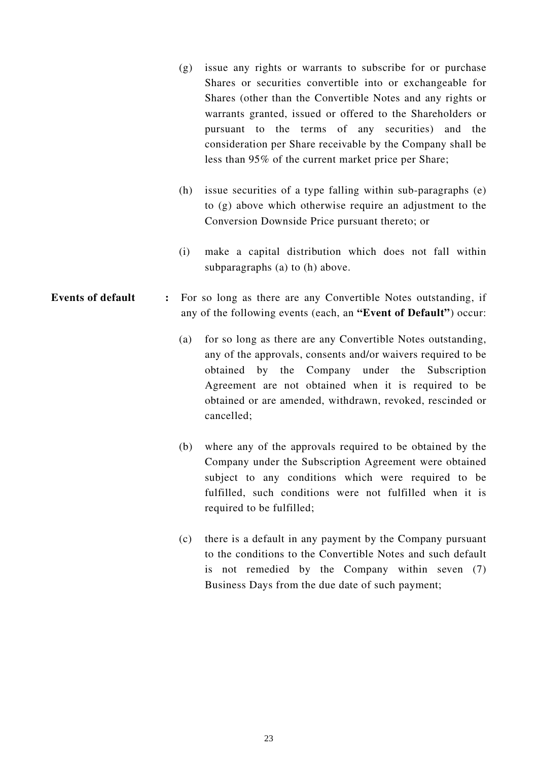- (g) issue any rights or warrants to subscribe for or purchase Shares or securities convertible into or exchangeable for Shares (other than the Convertible Notes and any rights or warrants granted, issued or offered to the Shareholders or pursuant to the terms of any securities) and the consideration per Share receivable by the Company shall be less than 95% of the current market price per Share;
- (h) issue securities of a type falling within sub-paragraphs (e) to (g) above which otherwise require an adjustment to the Conversion Downside Price pursuant thereto; or
- (i) make a capital distribution which does not fall within subparagraphs (a) to (h) above.
- **Events of default :** For so long as there are any Convertible Notes outstanding, if any of the following events (each, an **"Event of Default"**) occur:
	- (a) for so long as there are any Convertible Notes outstanding, any of the approvals, consents and/or waivers required to be obtained by the Company under the Subscription Agreement are not obtained when it is required to be obtained or are amended, withdrawn, revoked, rescinded or cancelled;
	- (b) where any of the approvals required to be obtained by the Company under the Subscription Agreement were obtained subject to any conditions which were required to be fulfilled, such conditions were not fulfilled when it is required to be fulfilled;
	- (c) there is a default in any payment by the Company pursuant to the conditions to the Convertible Notes and such default is not remedied by the Company within seven (7) Business Days from the due date of such payment;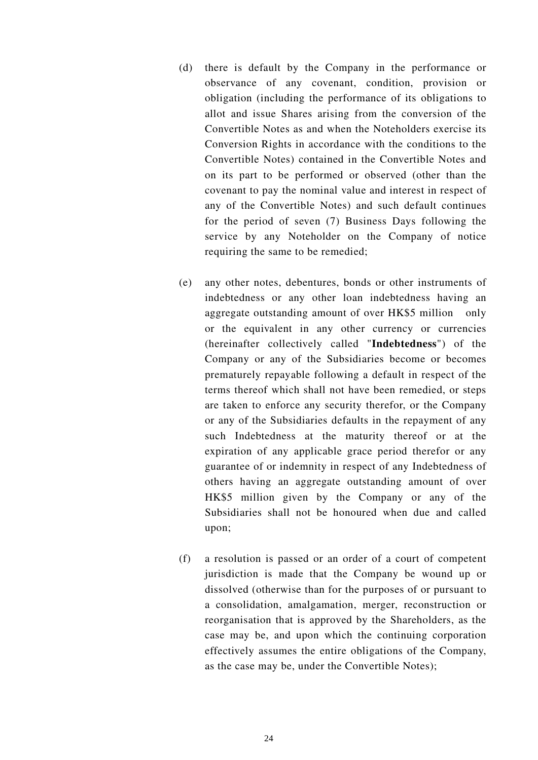- (d) there is default by the Company in the performance or observance of any covenant, condition, provision or obligation (including the performance of its obligations to allot and issue Shares arising from the conversion of the Convertible Notes as and when the Noteholders exercise its Conversion Rights in accordance with the conditions to the Convertible Notes) contained in the Convertible Notes and on its part to be performed or observed (other than the covenant to pay the nominal value and interest in respect of any of the Convertible Notes) and such default continues for the period of seven (7) Business Days following the service by any Noteholder on the Company of notice requiring the same to be remedied;
- (e) any other notes, debentures, bonds or other instruments of indebtedness or any other loan indebtedness having an aggregate outstanding amount of over HK\$5 million only or the equivalent in any other currency or currencies (hereinafter collectively called "**Indebtedness**") of the Company or any of the Subsidiaries become or becomes prematurely repayable following a default in respect of the terms thereof which shall not have been remedied, or steps are taken to enforce any security therefor, or the Company or any of the Subsidiaries defaults in the repayment of any such Indebtedness at the maturity thereof or at the expiration of any applicable grace period therefor or any guarantee of or indemnity in respect of any Indebtedness of others having an aggregate outstanding amount of over HK\$5 million given by the Company or any of the Subsidiaries shall not be honoured when due and called upon;
- (f) a resolution is passed or an order of a court of competent jurisdiction is made that the Company be wound up or dissolved (otherwise than for the purposes of or pursuant to a consolidation, amalgamation, merger, reconstruction or reorganisation that is approved by the Shareholders, as the case may be, and upon which the continuing corporation effectively assumes the entire obligations of the Company, as the case may be, under the Convertible Notes);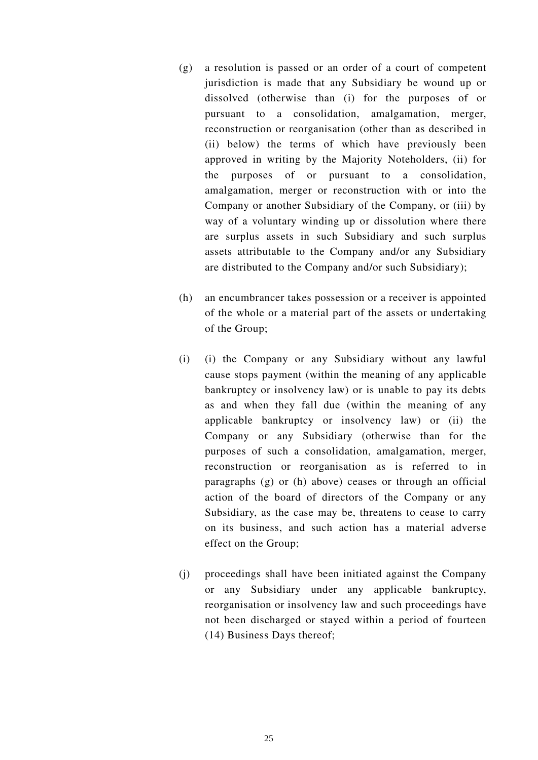- (g) a resolution is passed or an order of a court of competent jurisdiction is made that any Subsidiary be wound up or dissolved (otherwise than (i) for the purposes of or pursuant to a consolidation, amalgamation, merger, reconstruction or reorganisation (other than as described in (ii) below) the terms of which have previously been approved in writing by the Majority Noteholders, (ii) for the purposes of or pursuant to a consolidation, amalgamation, merger or reconstruction with or into the Company or another Subsidiary of the Company, or (iii) by way of a voluntary winding up or dissolution where there are surplus assets in such Subsidiary and such surplus assets attributable to the Company and/or any Subsidiary are distributed to the Company and/or such Subsidiary);
- (h) an encumbrancer takes possession or a receiver is appointed of the whole or a material part of the assets or undertaking of the Group;
- (i) (i) the Company or any Subsidiary without any lawful cause stops payment (within the meaning of any applicable bankruptcy or insolvency law) or is unable to pay its debts as and when they fall due (within the meaning of any applicable bankruptcy or insolvency law) or (ii) the Company or any Subsidiary (otherwise than for the purposes of such a consolidation, amalgamation, merger, reconstruction or reorganisation as is referred to in paragraphs (g) or (h) above) ceases or through an official action of the board of directors of the Company or any Subsidiary, as the case may be, threatens to cease to carry on its business, and such action has a material adverse effect on the Group;
- (j) proceedings shall have been initiated against the Company or any Subsidiary under any applicable bankruptcy, reorganisation or insolvency law and such proceedings have not been discharged or stayed within a period of fourteen (14) Business Days thereof;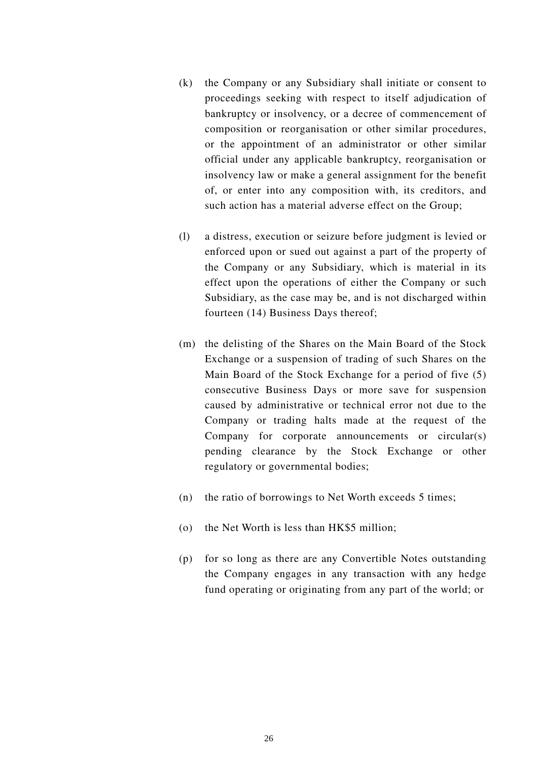- (k) the Company or any Subsidiary shall initiate or consent to proceedings seeking with respect to itself adjudication of bankruptcy or insolvency, or a decree of commencement of composition or reorganisation or other similar procedures, or the appointment of an administrator or other similar official under any applicable bankruptcy, reorganisation or insolvency law or make a general assignment for the benefit of, or enter into any composition with, its creditors, and such action has a material adverse effect on the Group;
- (l) a distress, execution or seizure before judgment is levied or enforced upon or sued out against a part of the property of the Company or any Subsidiary, which is material in its effect upon the operations of either the Company or such Subsidiary, as the case may be, and is not discharged within fourteen (14) Business Days thereof;
- (m) the delisting of the Shares on the Main Board of the Stock Exchange or a suspension of trading of such Shares on the Main Board of the Stock Exchange for a period of five (5) consecutive Business Days or more save for suspension caused by administrative or technical error not due to the Company or trading halts made at the request of the Company for corporate announcements or circular(s) pending clearance by the Stock Exchange or other regulatory or governmental bodies;
- (n) the ratio of borrowings to Net Worth exceeds 5 times;
- (o) the Net Worth is less than HK\$5 million;
- (p) for so long as there are any Convertible Notes outstanding the Company engages in any transaction with any hedge fund operating or originating from any part of the world; or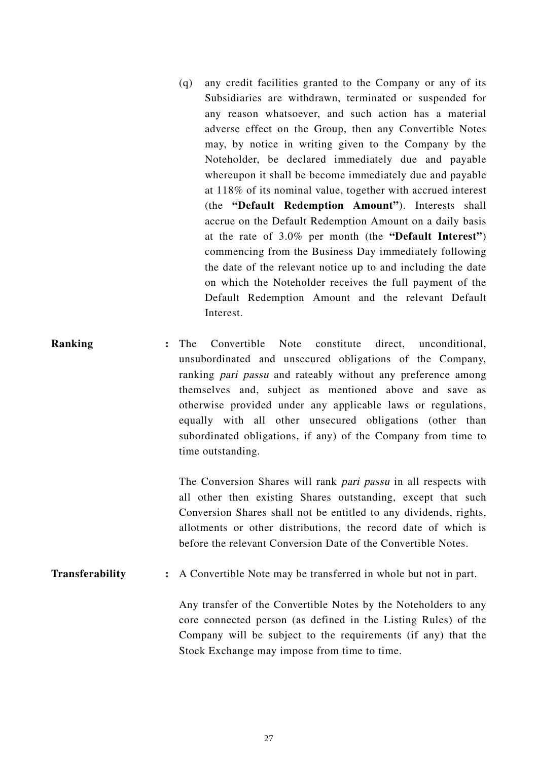- (q) any credit facilities granted to the Company or any of its Subsidiaries are withdrawn, terminated or suspended for any reason whatsoever, and such action has a material adverse effect on the Group, then any Convertible Notes may, by notice in writing given to the Company by the Noteholder, be declared immediately due and payable whereupon it shall be become immediately due and payable at 118% of its nominal value, together with accrued interest (the **"Default Redemption Amount"**). Interests shall accrue on the Default Redemption Amount on a daily basis at the rate of 3.0% per month (the **"Default Interest"**) commencing from the Business Day immediately following the date of the relevant notice up to and including the date on which the Noteholder receives the full payment of the Default Redemption Amount and the relevant Default Interest.
- **Ranking :** The Convertible Note constitute direct, unconditional, unsubordinated and unsecured obligations of the Company, ranking pari passu and rateably without any preference among themselves and, subject as mentioned above and save as otherwise provided under any applicable laws or regulations, equally with all other unsecured obligations (other than subordinated obligations, if any) of the Company from time to time outstanding.

The Conversion Shares will rank *pari passu* in all respects with all other then existing Shares outstanding, except that such Conversion Shares shall not be entitled to any dividends, rights, allotments or other distributions, the record date of which is before the relevant Conversion Date of the Convertible Notes.

**Transferability** : A Convertible Note may be transferred in whole but not in part.

Any transfer of the Convertible Notes by the Noteholders to any core connected person (as defined in the Listing Rules) of the Company will be subject to the requirements (if any) that the Stock Exchange may impose from time to time.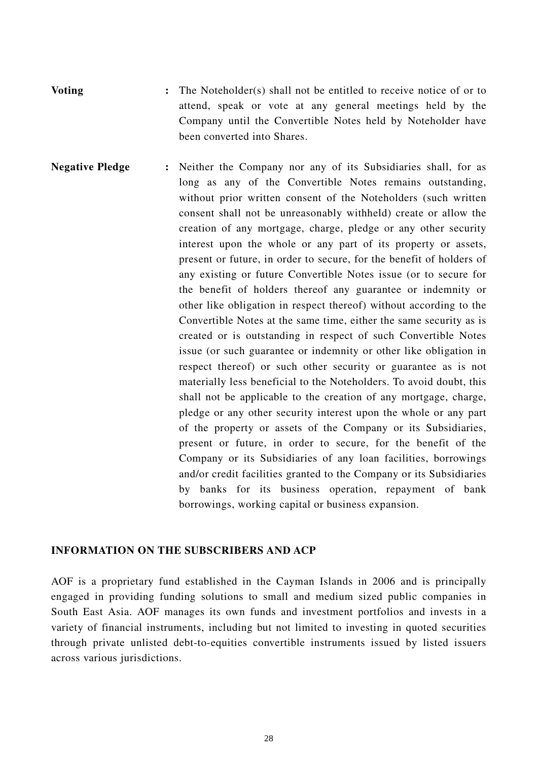**Voting :** The Noteholder(s) shall not be entitled to receive notice of or to attend, speak or vote at any general meetings held by the Company until the Convertible Notes held by Noteholder have been converted into Shares.

**Negative Pledge :** Neither the Company nor any of its Subsidiaries shall, for as long as any of the Convertible Notes remains outstanding, without prior written consent of the Noteholders (such written consent shall not be unreasonably withheld) create or allow the creation of any mortgage, charge, pledge or any other security interest upon the whole or any part of its property or assets, present or future, in order to secure, for the benefit of holders of any existing or future Convertible Notes issue (or to secure for the benefit of holders thereof any guarantee or indemnity or other like obligation in respect thereof) without according to the Convertible Notes at the same time, either the same security as is created or is outstanding in respect of such Convertible Notes issue (or such guarantee or indemnity or other like obligation in respect thereof) or such other security or guarantee as is not materially less beneficial to the Noteholders. To avoid doubt, this shall not be applicable to the creation of any mortgage, charge, pledge or any other security interest upon the whole or any part of the property or assets of the Company or its Subsidiaries, present or future, in order to secure, for the benefit of the Company or its Subsidiaries of any loan facilities, borrowings and/or credit facilities granted to the Company or its Subsidiaries by banks for its business operation, repayment of bank borrowings, working capital or business expansion.

#### **INFORMATION ON THE SUBSCRIBERS AND ACP**

AOF is a proprietary fund established in the Cayman Islands in 2006 and is principally engaged in providing funding solutions to small and medium sized public companies in South East Asia. AOF manages its own funds and investment portfolios and invests in a variety of financial instruments, including but not limited to investing in quoted securities through private unlisted debt-to-equities convertible instruments issued by listed issuers across various jurisdictions.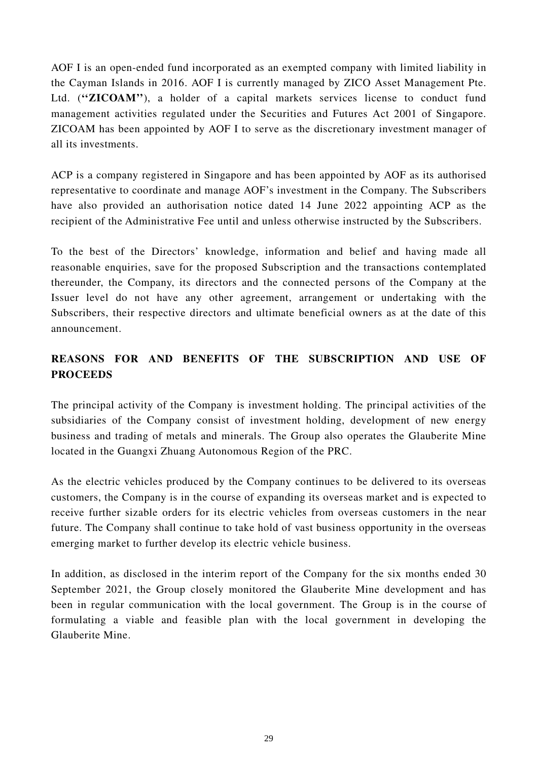AOF I is an open-ended fund incorporated as an exempted company with limited liability in the Cayman Islands in 2016. AOF I is currently managed by ZICO Asset Management Pte. Ltd. ("**ZICOAM**"), a holder of a capital markets services license to conduct fund management activities regulated under the Securities and Futures Act 2001 of Singapore. ZICOAM has been appointed by AOF I to serve as the discretionary investment manager of all its investments.

ACP is a company registered in Singapore and has been appointed by AOF as its authorised representative to coordinate and manage AOF's investment in the Company. The Subscribers have also provided an authorisation notice dated 14 June 2022 appointing ACP as the recipient of the Administrative Fee until and unless otherwise instructed by the Subscribers.

To the best of the Directors' knowledge, information and belief and having made all reasonable enquiries, save for the proposed Subscription and the transactions contemplated thereunder, the Company, its directors and the connected persons of the Company at the Issuer level do not have any other agreement, arrangement or undertaking with the Subscribers, their respective directors and ultimate beneficial owners as at the date of this announcement.

# **REASONS FOR AND BENEFITS OF THE SUBSCRIPTION AND USE OF PROCEEDS**

The principal activity of the Company is investment holding. The principal activities of the subsidiaries of the Company consist of investment holding, development of new energy business and trading of metals and minerals. The Group also operates the Glauberite Mine located in the Guangxi Zhuang Autonomous Region of the PRC.

As the electric vehicles produced by the Company continues to be delivered to its overseas customers, the Company is in the course of expanding its overseas market and is expected to receive further sizable orders for its electric vehicles from overseas customers in the near future. The Company shall continue to take hold of vast business opportunity in the overseas emerging market to further develop its electric vehicle business.

In addition, as disclosed in the interim report of the Company for the six months ended 30 September 2021, the Group closely monitored the Glauberite Mine development and has been in regular communication with the local government. The Group is in the course of formulating a viable and feasible plan with the local government in developing the Glauberite Mine.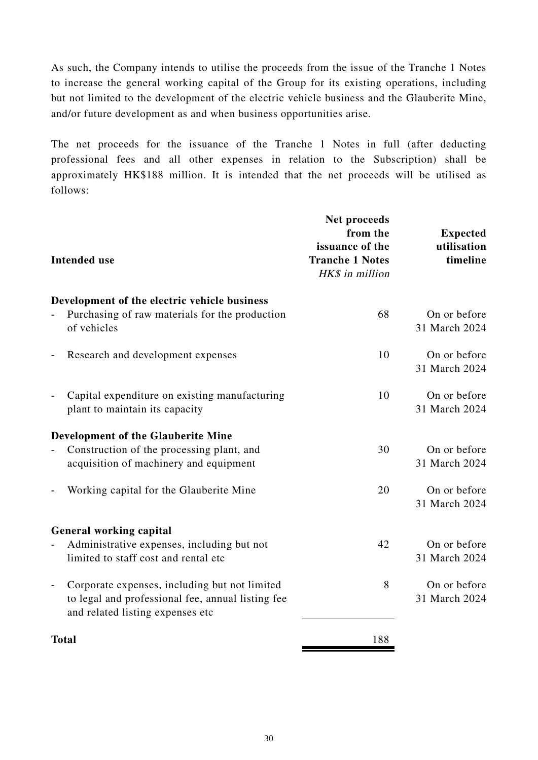As such, the Company intends to utilise the proceeds from the issue of the Tranche 1 Notes to increase the general working capital of the Group for its existing operations, including but not limited to the development of the electric vehicle business and the Glauberite Mine, and/or future development as and when business opportunities arise.

The net proceeds for the issuance of the Tranche 1 Notes in full (after deducting professional fees and all other expenses in relation to the Subscription) shall be approximately HK\$188 million. It is intended that the net proceeds will be utilised as follows:

| <b>Intended use</b>                                                                                                                                                | Net proceeds<br>from the<br>issuance of the<br><b>Tranche 1 Notes</b><br>HK\$ in million | <b>Expected</b><br>utilisation<br>timeline |
|--------------------------------------------------------------------------------------------------------------------------------------------------------------------|------------------------------------------------------------------------------------------|--------------------------------------------|
| Development of the electric vehicle business                                                                                                                       |                                                                                          |                                            |
| Purchasing of raw materials for the production<br>$\overline{a}$<br>of vehicles                                                                                    | 68                                                                                       | On or before<br>31 March 2024              |
| Research and development expenses<br>$\overline{a}$                                                                                                                | 10                                                                                       | On or before<br>31 March 2024              |
| Capital expenditure on existing manufacturing<br>$\overline{\phantom{0}}$<br>plant to maintain its capacity                                                        | 10                                                                                       | On or before<br>31 March 2024              |
| <b>Development of the Glauberite Mine</b>                                                                                                                          |                                                                                          |                                            |
| Construction of the processing plant, and<br>$\overline{\phantom{0}}$<br>acquisition of machinery and equipment                                                    | 30                                                                                       | On or before<br>31 March 2024              |
| Working capital for the Glauberite Mine                                                                                                                            | 20                                                                                       | On or before<br>31 March 2024              |
| <b>General working capital</b>                                                                                                                                     |                                                                                          |                                            |
| Administrative expenses, including but not<br>limited to staff cost and rental etc.                                                                                | 42                                                                                       | On or before<br>31 March 2024              |
| Corporate expenses, including but not limited<br>$\overline{\phantom{a}}$<br>to legal and professional fee, annual listing fee<br>and related listing expenses etc | 8                                                                                        | On or before<br>31 March 2024              |
| <b>Total</b>                                                                                                                                                       | 188                                                                                      |                                            |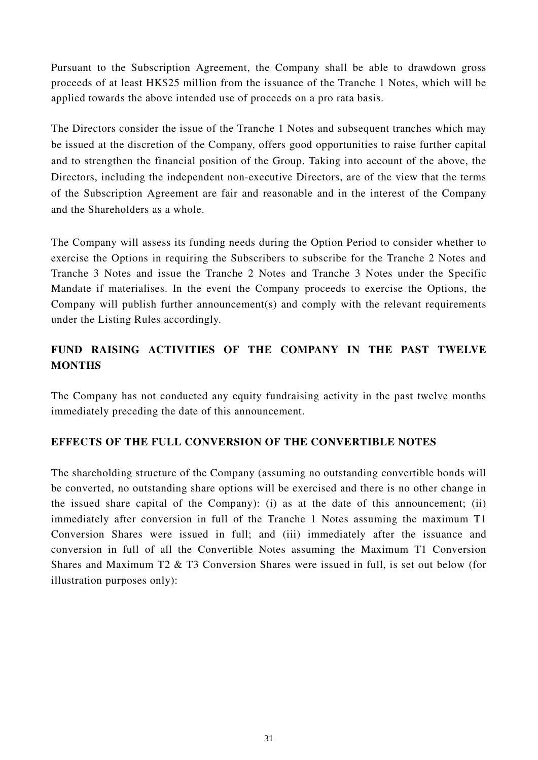Pursuant to the Subscription Agreement, the Company shall be able to drawdown gross proceeds of at least HK\$25 million from the issuance of the Tranche 1 Notes, which will be applied towards the above intended use of proceeds on a pro rata basis.

The Directors consider the issue of the Tranche 1 Notes and subsequent tranches which may be issued at the discretion of the Company, offers good opportunities to raise further capital and to strengthen the financial position of the Group. Taking into account of the above, the Directors, including the independent non-executive Directors, are of the view that the terms of the Subscription Agreement are fair and reasonable and in the interest of the Company and the Shareholders as a whole.

The Company will assess its funding needs during the Option Period to consider whether to exercise the Options in requiring the Subscribers to subscribe for the Tranche 2 Notes and Tranche 3 Notes and issue the Tranche 2 Notes and Tranche 3 Notes under the Specific Mandate if materialises. In the event the Company proceeds to exercise the Options, the Company will publish further announcement(s) and comply with the relevant requirements under the Listing Rules accordingly.

# **FUND RAISING ACTIVITIES OF THE COMPANY IN THE PAST TWELVE MONTHS**

The Company has not conducted any equity fundraising activity in the past twelve months immediately preceding the date of this announcement.

# **EFFECTS OF THE FULL CONVERSION OF THE CONVERTIBLE NOTES**

The shareholding structure of the Company (assuming no outstanding convertible bonds will be converted, no outstanding share options will be exercised and there is no other change in the issued share capital of the Company): (i) as at the date of this announcement; (ii) immediately after conversion in full of the Tranche 1 Notes assuming the maximum T1 Conversion Shares were issued in full; and (iii) immediately after the issuance and conversion in full of all the Convertible Notes assuming the Maximum T1 Conversion Shares and Maximum T2 & T3 Conversion Shares were issued in full, is set out below (for illustration purposes only):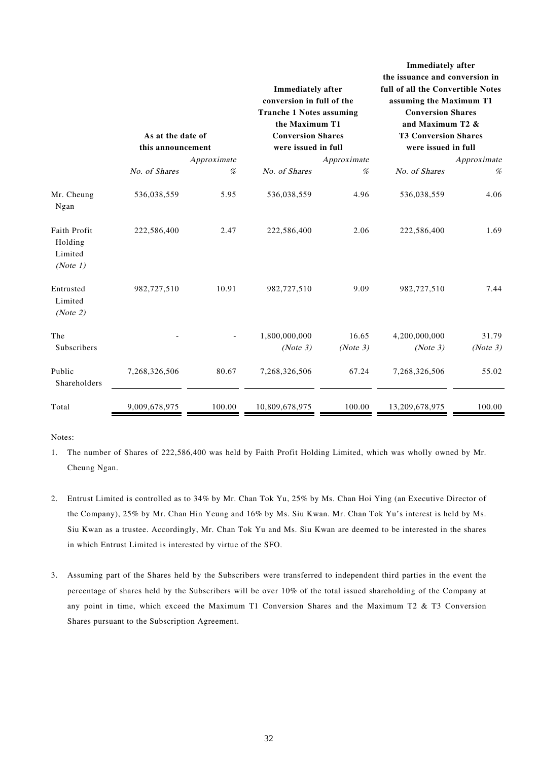|                                                | As at the date of<br>this announcement |                  | <b>Immediately after</b><br>conversion in full of the<br><b>Tranche 1 Notes assuming</b><br>the Maximum T1<br><b>Conversion Shares</b><br>were issued in full |                  | Immediately after<br>the issuance and conversion in<br>full of all the Convertible Notes<br>assuming the Maximum T1<br><b>Conversion Shares</b><br>and Maximum T2 &<br><b>T3 Conversion Shares</b><br>were issued in full |                  |
|------------------------------------------------|----------------------------------------|------------------|---------------------------------------------------------------------------------------------------------------------------------------------------------------|------------------|---------------------------------------------------------------------------------------------------------------------------------------------------------------------------------------------------------------------------|------------------|
|                                                | No. of Shares                          | Approximate<br>% | No. of Shares                                                                                                                                                 | Approximate<br>% | No. of Shares                                                                                                                                                                                                             | Approximate<br>% |
| Mr. Cheung<br>Ngan                             | 536,038,559                            | 5.95             | 536,038,559                                                                                                                                                   | 4.96             | 536,038,559                                                                                                                                                                                                               | 4.06             |
| Faith Profit<br>Holding<br>Limited<br>(Note 1) | 222,586,400                            | 2.47             | 222,586,400                                                                                                                                                   | 2.06             | 222,586,400                                                                                                                                                                                                               | 1.69             |
| Entrusted<br>Limited<br>(Note 2)               | 982,727,510                            | 10.91            | 982,727,510                                                                                                                                                   | 9.09             | 982,727,510                                                                                                                                                                                                               | 7.44             |
| The                                            |                                        |                  | 1,800,000,000                                                                                                                                                 | 16.65            | 4,200,000,000                                                                                                                                                                                                             | 31.79            |
| Subscribers                                    |                                        |                  | (Note 3)                                                                                                                                                      | (Note 3)         | (Note 3)                                                                                                                                                                                                                  | (Note 3)         |
| Public<br>Shareholders                         | 7,268,326,506                          | 80.67            | 7,268,326,506                                                                                                                                                 | 67.24            | 7,268,326,506                                                                                                                                                                                                             | 55.02            |
| Total                                          | 9,009,678,975                          | 100.00           | 10,809,678,975                                                                                                                                                | 100.00           | 13,209,678,975                                                                                                                                                                                                            | 100.00           |

Notes:

- 1. The number of Shares of 222,586,400 was held by Faith Profit Holding Limited, which was wholly owned by Mr. Cheung Ngan.
- 2. Entrust Limited is controlled as to 34% by Mr. Chan Tok Yu, 25% by Ms. Chan Hoi Ying (an Executive Director of the Company), 25% by Mr. Chan Hin Yeung and 16% by Ms. Siu Kwan. Mr. Chan Tok Yu's interest is held by Ms. Siu Kwan as a trustee. Accordingly, Mr. Chan Tok Yu and Ms. Siu Kwan are deemed to be interested in the shares in which Entrust Limited is interested by virtue of the SFO.
- 3. Assuming part of the Shares held by the Subscribers were transferred to independent third parties in the event the percentage of shares held by the Subscribers will be over 10% of the total issued shareholding of the Company at any point in time, which exceed the Maximum T1 Conversion Shares and the Maximum T2 & T3 Conversion Shares pursuant to the Subscription Agreement.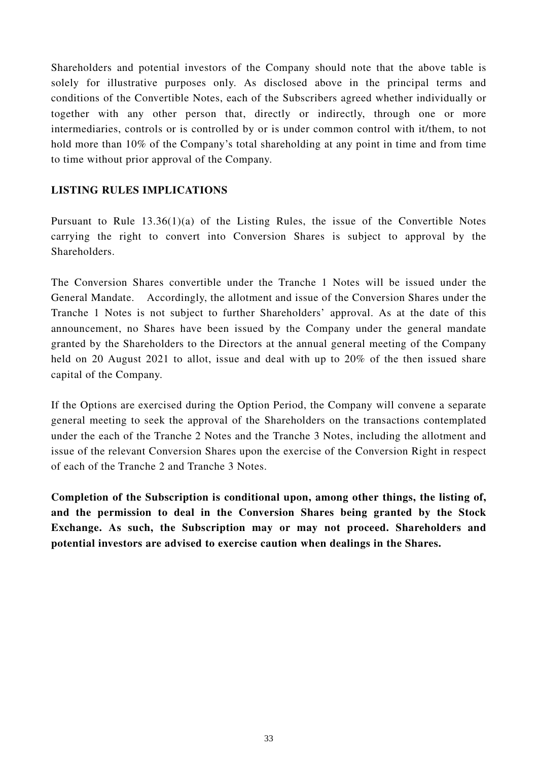Shareholders and potential investors of the Company should note that the above table is solely for illustrative purposes only. As disclosed above in the principal terms and conditions of the Convertible Notes, each of the Subscribers agreed whether individually or together with any other person that, directly or indirectly, through one or more intermediaries, controls or is controlled by or is under common control with it/them, to not hold more than 10% of the Company's total shareholding at any point in time and from time to time without prior approval of the Company.

### **LISTING RULES IMPLICATIONS**

Pursuant to Rule 13.36(1)(a) of the Listing Rules, the issue of the Convertible Notes carrying the right to convert into Conversion Shares is subject to approval by the Shareholders.

The Conversion Shares convertible under the Tranche 1 Notes will be issued under the General Mandate. Accordingly, the allotment and issue of the Conversion Shares under the Tranche 1 Notes is not subject to further Shareholders' approval. As at the date of this announcement, no Shares have been issued by the Company under the general mandate granted by the Shareholders to the Directors at the annual general meeting of the Company held on 20 August 2021 to allot, issue and deal with up to 20% of the then issued share capital of the Company.

If the Options are exercised during the Option Period, the Company will convene a separate general meeting to seek the approval of the Shareholders on the transactions contemplated under the each of the Tranche 2 Notes and the Tranche 3 Notes, including the allotment and issue of the relevant Conversion Shares upon the exercise of the Conversion Right in respect of each of the Tranche 2 and Tranche 3 Notes.

**Completion of the Subscription is conditional upon, among other things, the listing of, and the permission to deal in the Conversion Shares being granted by the Stock Exchange. As such, the Subscription may or may not proceed. Shareholders and potential investors are advised to exercise caution when dealings in the Shares.**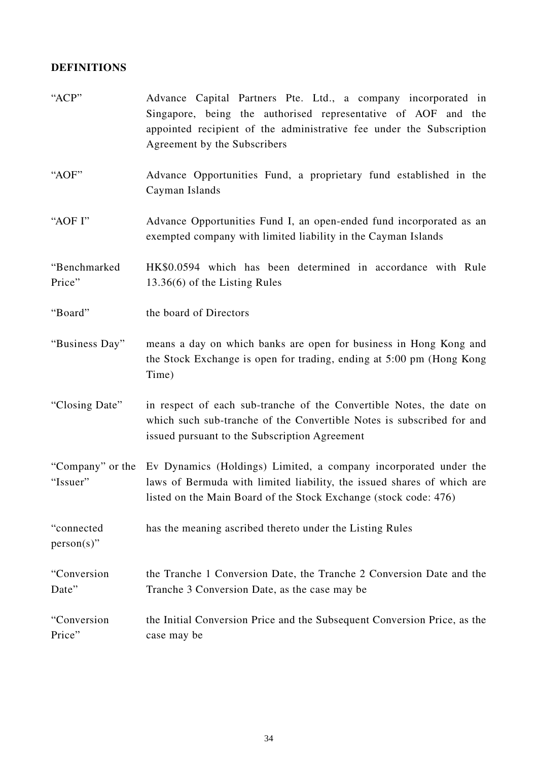# **DEFINITIONS**

| "ACP"                       | Advance Capital Partners Pte. Ltd., a company incorporated in<br>Singapore, being the authorised representative of AOF and the<br>appointed recipient of the administrative fee under the Subscription<br>Agreement by the Subscribers |
|-----------------------------|----------------------------------------------------------------------------------------------------------------------------------------------------------------------------------------------------------------------------------------|
| "AOF"                       | Advance Opportunities Fund, a proprietary fund established in the<br>Cayman Islands                                                                                                                                                    |
| "AOF I"                     | Advance Opportunities Fund I, an open-ended fund incorporated as an<br>exempted company with limited liability in the Cayman Islands                                                                                                   |
| "Benchmarked<br>Price"      | HK\$0.0594 which has been determined in accordance with Rule<br>13.36(6) of the Listing Rules                                                                                                                                          |
| "Board"                     | the board of Directors                                                                                                                                                                                                                 |
| "Business Day"              | means a day on which banks are open for business in Hong Kong and<br>the Stock Exchange is open for trading, ending at 5:00 pm (Hong Kong<br>Time)                                                                                     |
| "Closing Date"              | in respect of each sub-tranche of the Convertible Notes, the date on<br>which such sub-tranche of the Convertible Notes is subscribed for and<br>issued pursuant to the Subscription Agreement                                         |
| "Issuer"                    | "Company" or the Ev Dynamics (Holdings) Limited, a company incorporated under the<br>laws of Bermuda with limited liability, the issued shares of which are<br>listed on the Main Board of the Stock Exchange (stock code: 476)        |
| "connected<br>$person(s)$ " | has the meaning ascribed thereto under the Listing Rules                                                                                                                                                                               |
| "Conversion<br>Date"        | the Tranche 1 Conversion Date, the Tranche 2 Conversion Date and the<br>Tranche 3 Conversion Date, as the case may be                                                                                                                  |
| "Conversion<br>Price"       | the Initial Conversion Price and the Subsequent Conversion Price, as the<br>case may be                                                                                                                                                |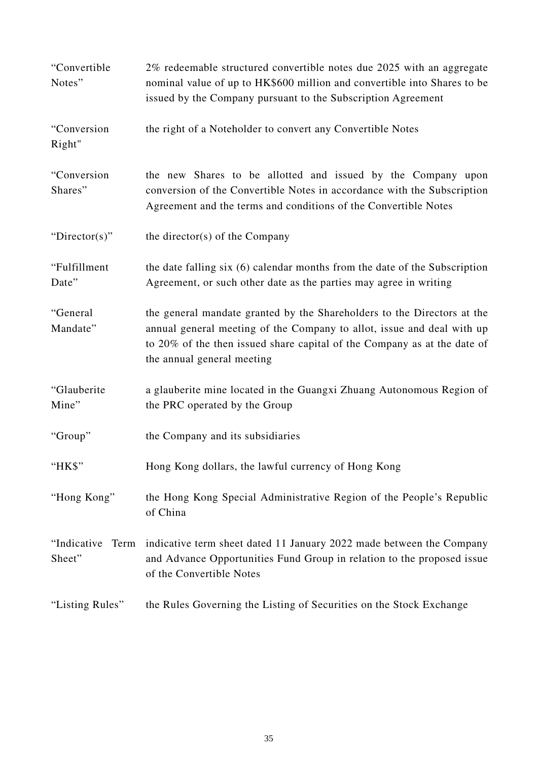| "Convertible<br>Notes"        | 2% redeemable structured convertible notes due 2025 with an aggregate<br>nominal value of up to HK\$600 million and convertible into Shares to be<br>issued by the Company pursuant to the Subscription Agreement                                           |
|-------------------------------|-------------------------------------------------------------------------------------------------------------------------------------------------------------------------------------------------------------------------------------------------------------|
| "Conversion<br>Right"         | the right of a Noteholder to convert any Convertible Notes                                                                                                                                                                                                  |
| "Conversion<br>Shares"        | the new Shares to be allotted and issued by the Company upon<br>conversion of the Convertible Notes in accordance with the Subscription<br>Agreement and the terms and conditions of the Convertible Notes                                                  |
| "Director(s)"                 | the director(s) of the Company                                                                                                                                                                                                                              |
| "Fulfillment<br>Date"         | the date falling six (6) calendar months from the date of the Subscription<br>Agreement, or such other date as the parties may agree in writing                                                                                                             |
| "General<br>Mandate"          | the general mandate granted by the Shareholders to the Directors at the<br>annual general meeting of the Company to allot, issue and deal with up<br>to 20% of the then issued share capital of the Company as at the date of<br>the annual general meeting |
| "Glauberite<br>Mine"          | a glauberite mine located in the Guangxi Zhuang Autonomous Region of<br>the PRC operated by the Group                                                                                                                                                       |
| "Group"                       | the Company and its subsidiaries                                                                                                                                                                                                                            |
| " $HKS$ "                     | Hong Kong dollars, the lawful currency of Hong Kong                                                                                                                                                                                                         |
| "Hong Kong"                   | the Hong Kong Special Administrative Region of the People's Republic<br>of China                                                                                                                                                                            |
| "Indicative<br>Term<br>Sheet" | indicative term sheet dated 11 January 2022 made between the Company<br>and Advance Opportunities Fund Group in relation to the proposed issue<br>of the Convertible Notes                                                                                  |
| "Listing Rules"               | the Rules Governing the Listing of Securities on the Stock Exchange                                                                                                                                                                                         |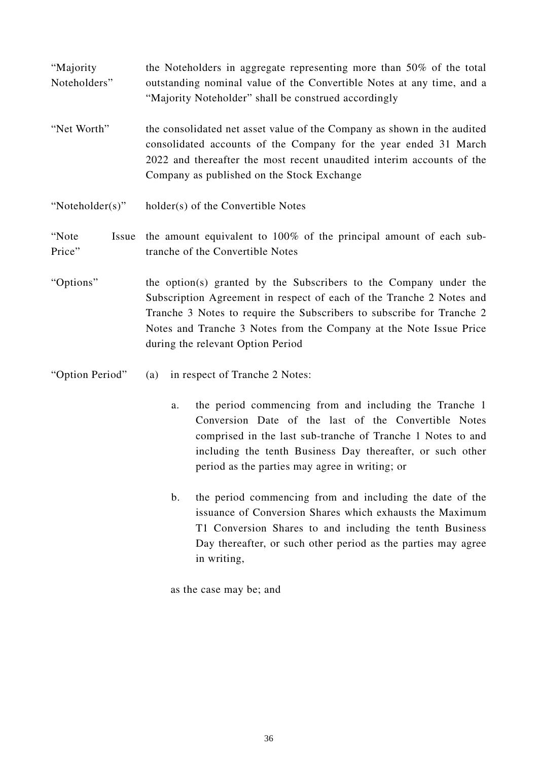"Majority Noteholders" the Noteholders in aggregate representing more than 50% of the total outstanding nominal value of the Convertible Notes at any time, and a "Majority Noteholder" shall be construed accordingly

- "Net Worth" the consolidated net asset value of the Company as shown in the audited consolidated accounts of the Company for the year ended 31 March 2022 and thereafter the most recent unaudited interim accounts of the Company as published on the Stock Exchange
- "Noteholder(s)" holder(s) of the Convertible Notes

#### "Note Issue the amount equivalent to 100% of the principal amount of each sub-Price" tranche of the Convertible Notes

- "Options" the option(s) granted by the Subscribers to the Company under the Subscription Agreement in respect of each of the Tranche 2 Notes and Tranche 3 Notes to require the Subscribers to subscribe for Tranche 2 Notes and Tranche 3 Notes from the Company at the Note Issue Price during the relevant Option Period
- "Option Period" (a) in respect of Tranche 2 Notes:
	- a. the period commencing from and including the Tranche 1 Conversion Date of the last of the Convertible Notes comprised in the last sub-tranche of Tranche 1 Notes to and including the tenth Business Day thereafter, or such other period as the parties may agree in writing; or
	- b. the period commencing from and including the date of the issuance of Conversion Shares which exhausts the Maximum T1 Conversion Shares to and including the tenth Business Day thereafter, or such other period as the parties may agree in writing,

as the case may be; and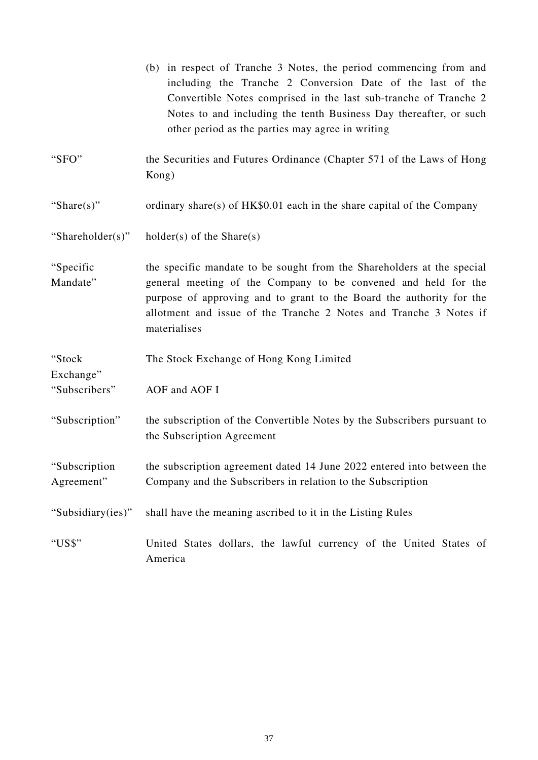|                             | (b) in respect of Tranche 3 Notes, the period commencing from and<br>including the Tranche 2 Conversion Date of the last of the<br>Convertible Notes comprised in the last sub-tranche of Tranche 2<br>Notes to and including the tenth Business Day thereafter, or such<br>other period as the parties may agree in writing |
|-----------------------------|------------------------------------------------------------------------------------------------------------------------------------------------------------------------------------------------------------------------------------------------------------------------------------------------------------------------------|
| "SFO"                       | the Securities and Futures Ordinance (Chapter 571 of the Laws of Hong<br>Kong)                                                                                                                                                                                                                                               |
| "Share $(s)$ "              | ordinary share(s) of $HK$0.01$ each in the share capital of the Company                                                                                                                                                                                                                                                      |
| "Shareholder(s)"            | $holder(s)$ of the Share(s)                                                                                                                                                                                                                                                                                                  |
| "Specific<br>Mandate"       | the specific mandate to be sought from the Shareholders at the special<br>general meeting of the Company to be convened and held for the<br>purpose of approving and to grant to the Board the authority for the<br>allotment and issue of the Tranche 2 Notes and Tranche 3 Notes if<br>materialises                        |
| "Stock<br>Exchange"         | The Stock Exchange of Hong Kong Limited                                                                                                                                                                                                                                                                                      |
| "Subscribers"               | AOF and AOF I                                                                                                                                                                                                                                                                                                                |
| "Subscription"              | the subscription of the Convertible Notes by the Subscribers pursuant to<br>the Subscription Agreement                                                                                                                                                                                                                       |
| "Subscription<br>Agreement" | the subscription agreement dated 14 June 2022 entered into between the<br>Company and the Subscribers in relation to the Subscription                                                                                                                                                                                        |
| "Subsidiary(ies)"           | shall have the meaning ascribed to it in the Listing Rules                                                                                                                                                                                                                                                                   |
| "US\$"                      | United States dollars, the lawful currency of the United States of<br>America                                                                                                                                                                                                                                                |